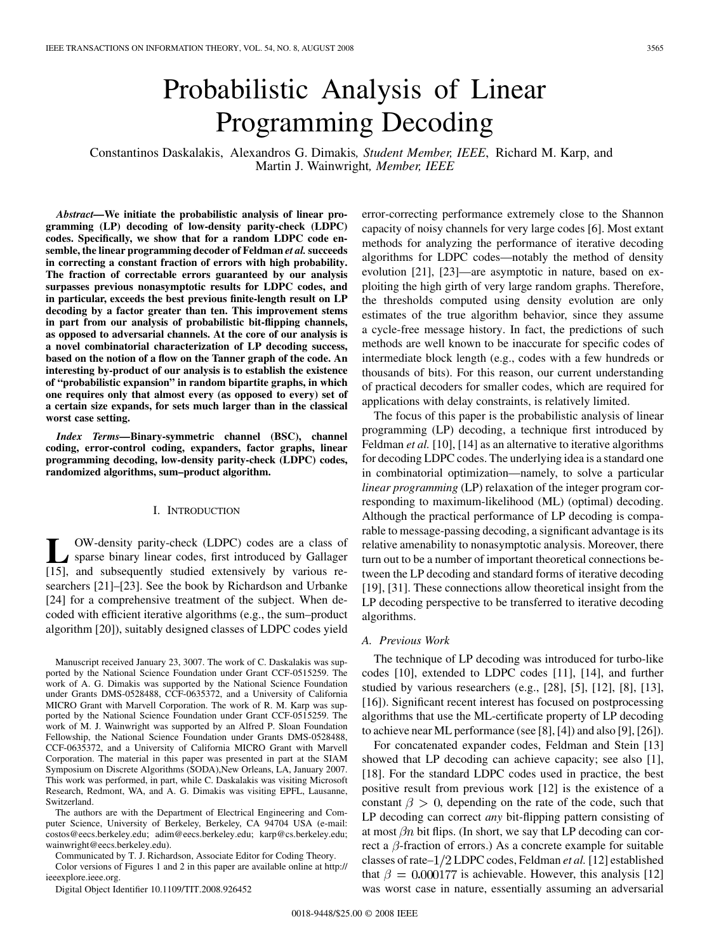# Probabilistic Analysis of Linear Programming Decoding

Constantinos Daskalakis, Alexandros G. Dimakis*, Student Member, IEEE*, Richard M. Karp, and Martin J. Wainwright*, Member, IEEE*

*Abstract—***We initiate the probabilistic analysis of linear programming (LP) decoding of low-density parity-check (LDPC) codes. Specifically, we show that for a random LDPC code ensemble, the linear programming decoder of Feldman** *et al.***succeeds in correcting a constant fraction of errors with high probability. The fraction of correctable errors guaranteed by our analysis surpasses previous nonasymptotic results for LDPC codes, and in particular, exceeds the best previous finite-length result on LP decoding by a factor greater than ten. This improvement stems in part from our analysis of probabilistic bit-flipping channels, as opposed to adversarial channels. At the core of our analysis is a novel combinatorial characterization of LP decoding success, based on the notion of a flow on the Tanner graph of the code. An interesting by-product of our analysis is to establish the existence of "probabilistic expansion" in random bipartite graphs, in which one requires only that almost every (as opposed to every) set of a certain size expands, for sets much larger than in the classical worst case setting.**

*Index Terms—***Binary-symmetric channel (BSC), channel coding, error-control coding, expanders, factor graphs, linear programming decoding, low-density parity-check (LDPC) codes, randomized algorithms, sum–product algorithm.**

## I. INTRODUCTION

**LA OW-density parity-check (LDPC) codes are a class of sparse binary linear codes, first introduced by Gallager** [15], and subsequently studied extensively by various researchers [21]–[23]. See the book by Richardson and Urbanke [24] for a comprehensive treatment of the subject. When decoded with efficient iterative algorithms (e.g., the sum–product algorithm [20]), suitably designed classes of LDPC codes yield

The authors are with the Department of Electrical Engineering and Computer Science, University of Berkeley, Berkeley, CA 94704 USA (e-mail: costos@eecs.berkeley.edu; adim@eecs.berkeley.edu; karp@cs.berkeley.edu; wainwright@eecs.berkeley.edu).

Communicated by T. J. Richardson, Associate Editor for Coding Theory. Color versions of Figures 1 and 2 in this paper are available online at http:// ieeexplore.ieee.org.

Digital Object Identifier 10.1109/TIT.2008.926452

error-correcting performance extremely close to the Shannon capacity of noisy channels for very large codes [6]. Most extant methods for analyzing the performance of iterative decoding algorithms for LDPC codes—notably the method of density evolution [21], [23]—are asymptotic in nature, based on exploiting the high girth of very large random graphs. Therefore, the thresholds computed using density evolution are only estimates of the true algorithm behavior, since they assume a cycle-free message history. In fact, the predictions of such methods are well known to be inaccurate for specific codes of intermediate block length (e.g., codes with a few hundreds or thousands of bits). For this reason, our current understanding of practical decoders for smaller codes, which are required for applications with delay constraints, is relatively limited.

The focus of this paper is the probabilistic analysis of linear programming (LP) decoding, a technique first introduced by Feldman *et al.* [10], [14] as an alternative to iterative algorithms for decoding LDPC codes. The underlying idea is a standard one in combinatorial optimization—namely, to solve a particular *linear programming* (LP) relaxation of the integer program corresponding to maximum-likelihood (ML) (optimal) decoding. Although the practical performance of LP decoding is comparable to message-passing decoding, a significant advantage is its relative amenability to nonasymptotic analysis. Moreover, there turn out to be a number of important theoretical connections between the LP decoding and standard forms of iterative decoding [19], [31]. These connections allow theoretical insight from the LP decoding perspective to be transferred to iterative decoding algorithms.

# *A. Previous Work*

The technique of LP decoding was introduced for turbo-like codes [10], extended to LDPC codes [11], [14], and further studied by various researchers (e.g., [28], [5], [12], [8], [13], [16]). Significant recent interest has focused on postprocessing algorithms that use the ML-certificate property of LP decoding to achieve near ML performance (see [8], [4]) and also [9], [26]).

For concatenated expander codes, Feldman and Stein [13] showed that LP decoding can achieve capacity; see also [1], [18]. For the standard LDPC codes used in practice, the best positive result from previous work [12] is the existence of a constant  $\beta > 0$ , depending on the rate of the code, such that LP decoding can correct *any* bit-flipping pattern consisting of at most  $\beta n$  bit flips. (In short, we say that LP decoding can correct a  $\beta$ -fraction of errors.) As a concrete example for suitable classes of rate– $1/2$  LDPC codes, Feldman *et al.* [12] established that  $\beta = 0.000177$  is achievable. However, this analysis [12] was worst case in nature, essentially assuming an adversarial

Manuscript received January 23, 3007. The work of C. Daskalakis was supported by the National Science Foundation under Grant CCF-0515259. The work of A. G. Dimakis was supported by the National Science Foundation under Grants DMS-0528488, CCF-0635372, and a University of California MICRO Grant with Marvell Corporation. The work of R. M. Karp was supported by the National Science Foundation under Grant CCF-0515259. The work of M. J. Wainwright was supported by an Alfred P. Sloan Foundation Fellowship, the National Science Foundation under Grants DMS-0528488, CCF-0635372, and a University of California MICRO Grant with Marvell Corporation. The material in this paper was presented in part at the SIAM Symposium on Discrete Algorithms (SODA),New Orleans, LA, January 2007. This work was performed, in part, while C. Daskalakis was visiting Microsoft Research, Redmont, WA, and A. G. Dimakis was visiting EPFL, Lausanne, Switzerland.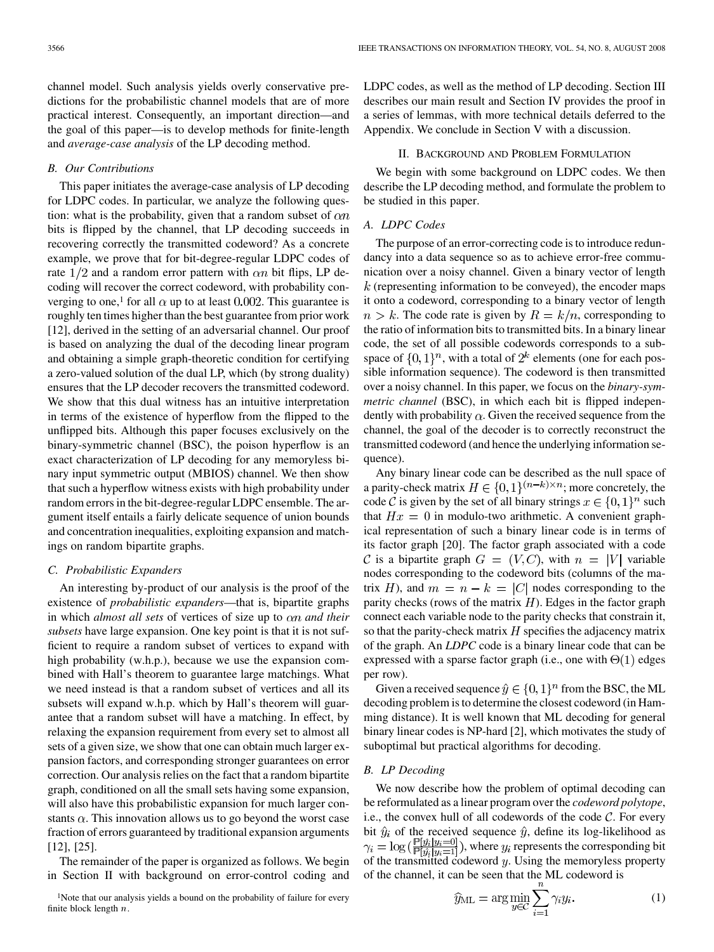channel model. Such analysis yields overly conservative predictions for the probabilistic channel models that are of more practical interest. Consequently, an important direction—and the goal of this paper—is to develop methods for finite-length and *average-case analysis* of the LP decoding method.

# *B. Our Contributions*

This paper initiates the average-case analysis of LP decoding for LDPC codes. In particular, we analyze the following question: what is the probability, given that a random subset of  $\alpha n$ bits is flipped by the channel, that LP decoding succeeds in recovering correctly the transmitted codeword? As a concrete example, we prove that for bit-degree-regular LDPC codes of rate  $1/2$  and a random error pattern with  $\alpha n$  bit flips, LP decoding will recover the correct codeword, with probability converging to one,<sup>1</sup> for all  $\alpha$  up to at least 0.002. This guarantee is roughly ten times higher than the best guarantee from prior work [12], derived in the setting of an adversarial channel. Our proof is based on analyzing the dual of the decoding linear program and obtaining a simple graph-theoretic condition for certifying a zero-valued solution of the dual LP, which (by strong duality) ensures that the LP decoder recovers the transmitted codeword. We show that this dual witness has an intuitive interpretation in terms of the existence of hyperflow from the flipped to the unflipped bits. Although this paper focuses exclusively on the binary-symmetric channel (BSC), the poison hyperflow is an exact characterization of LP decoding for any memoryless binary input symmetric output (MBIOS) channel. We then show that such a hyperflow witness exists with high probability under random errors in the bit-degree-regular LDPC ensemble. The argument itself entails a fairly delicate sequence of union bounds and concentration inequalities, exploiting expansion and matchings on random bipartite graphs.

## *C. Probabilistic Expanders*

An interesting by-product of our analysis is the proof of the existence of *probabilistic expanders*—that is, bipartite graphs in which *almost all sets* of vertices of size up to *and their subsets* have large expansion. One key point is that it is not sufficient to require a random subset of vertices to expand with high probability (w.h.p.), because we use the expansion combined with Hall's theorem to guarantee large matchings. What we need instead is that a random subset of vertices and all its subsets will expand w.h.p. which by Hall's theorem will guarantee that a random subset will have a matching. In effect, by relaxing the expansion requirement from every set to almost all sets of a given size, we show that one can obtain much larger expansion factors, and corresponding stronger guarantees on error correction. Our analysis relies on the fact that a random bipartite graph, conditioned on all the small sets having some expansion, will also have this probabilistic expansion for much larger constants  $\alpha$ . This innovation allows us to go beyond the worst case fraction of errors guaranteed by traditional expansion arguments [12], [25].

The remainder of the paper is organized as follows. We begin in Section II with background on error-control coding and LDPC codes, as well as the method of LP decoding. Section III describes our main result and Section IV provides the proof in a series of lemmas, with more technical details deferred to the Appendix. We conclude in Section V with a discussion.

## II. BACKGROUND AND PROBLEM FORMULATION

We begin with some background on LDPC codes. We then describe the LP decoding method, and formulate the problem to be studied in this paper.

# *A. LDPC Codes*

The purpose of an error-correcting code is to introduce redundancy into a data sequence so as to achieve error-free communication over a noisy channel. Given a binary vector of length  $k$  (representing information to be conveyed), the encoder maps it onto a codeword, corresponding to a binary vector of length  $n > k$ . The code rate is given by  $R = k/n$ , corresponding to the ratio of information bits to transmitted bits. In a binary linear code, the set of all possible codewords corresponds to a subspace of  $\{0,1\}^n$ , with a total of  $2^k$  elements (one for each possible information sequence). The codeword is then transmitted over a noisy channel. In this paper, we focus on the *binary-symmetric channel* (BSC), in which each bit is flipped independently with probability  $\alpha$ . Given the received sequence from the channel, the goal of the decoder is to correctly reconstruct the transmitted codeword (and hence the underlying information sequence).

Any binary linear code can be described as the null space of a parity-check matrix  $H \in \{0, 1\}^{(n-k)\times n}$ ; more concretely, the code C is given by the set of all binary strings  $x \in \{0,1\}^n$  such that  $Hx = 0$  in modulo-two arithmetic. A convenient graphical representation of such a binary linear code is in terms of its factor graph [20]. The factor graph associated with a code C is a bipartite graph  $G = (V, C)$ , with  $n = |V|$  variable nodes corresponding to the codeword bits (columns of the matrix H), and  $m = n - k = |C|$  nodes corresponding to the parity checks (rows of the matrix  $H$ ). Edges in the factor graph connect each variable node to the parity checks that constrain it, so that the parity-check matrix  $H$  specifies the adjacency matrix of the graph. An *LDPC* code is a binary linear code that can be expressed with a sparse factor graph (i.e., one with  $\Theta(1)$  edges per row).

Given a received sequence  $\hat{y} \in \{0,1\}^n$  from the BSC, the ML decoding problem is to determine the closest codeword (in Hamming distance). It is well known that ML decoding for general binary linear codes is NP-hard [2], which motivates the study of suboptimal but practical algorithms for decoding.

# *B. LP Decoding*

We now describe how the problem of optimal decoding can be reformulated as a linear program over the *codeword polytope*, i.e., the convex hull of all codewords of the code  $C$ . For every bit  $\hat{y}_i$  of the received sequence  $\hat{y}$ , define its log-likelihood as  $\gamma_i = \log\left(\frac{\mathbb{P}[y_i|y_i=0]}{\mathbb{P}[y_i|y_i=1]}\right)$ , where  $y_i$  represents the corresponding bit of the transmitted codeword  $y$ . Using the memoryless property of the channel, it can be seen that the ML codeword is

$$
\widehat{y}_{\text{ML}} = \arg\min_{y \in \mathcal{C}} \sum_{i=1}^n \gamma_i y_i.
$$
 (1)

<sup>&</sup>lt;sup>1</sup>Note that our analysis yields a bound on the probability of failure for every finite block length  $n$ .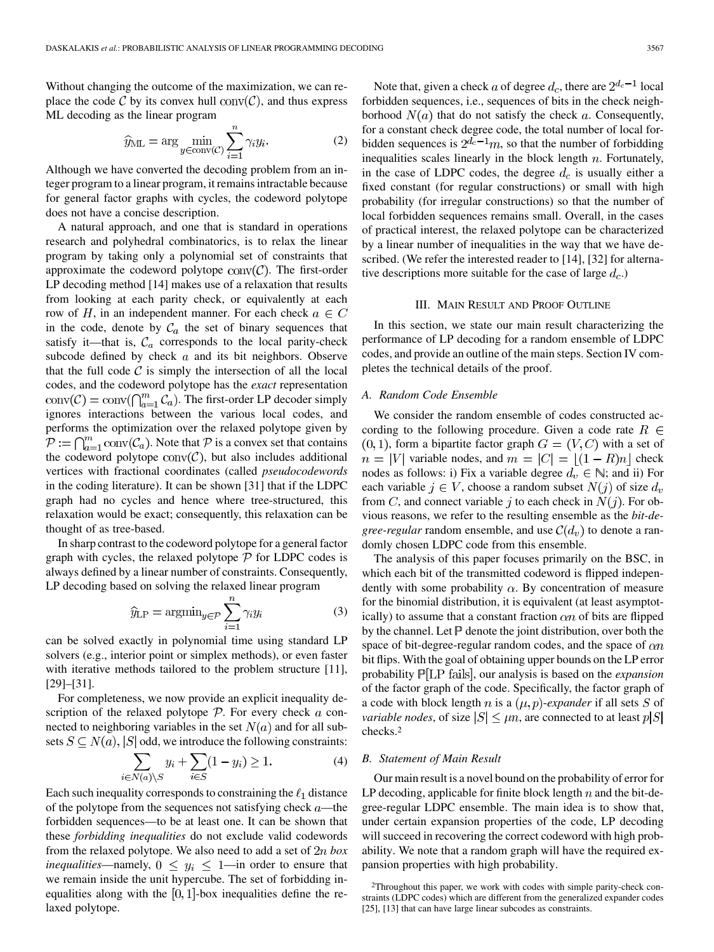Without changing the outcome of the maximization, we can replace the code C by its convex hull  $conv(\mathcal{C})$ , and thus express ML decoding as the linear program

$$
\widehat{y}_{\text{ML}} = \arg\min_{y \in \text{conv}(\mathcal{C})} \sum_{i=1}^{n} \gamma_i y_i.
$$
 (2)

Although we have converted the decoding problem from an integer program to a linear program, it remains intractable because for general factor graphs with cycles, the codeword polytope does not have a concise description.

A natural approach, and one that is standard in operations research and polyhedral combinatorics, is to relax the linear program by taking only a polynomial set of constraints that approximate the codeword polytope  $conv(\mathcal{C})$ . The first-order LP decoding method [14] makes use of a relaxation that results from looking at each parity check, or equivalently at each row of H, in an independent manner. For each check  $a \in C$ in the code, denote by  $C_a$  the set of binary sequences that satisfy it—that is,  $C_a$  corresponds to the local parity-check subcode defined by check  $a$  and its bit neighbors. Observe that the full code  $C$  is simply the intersection of all the local codes, and the codeword polytope has the *exact* representation  $conv(\mathcal{C}) = conv(\bigcap_{a=1}^{m} \mathcal{C}_a)$ . The first-order LP decoder simply ignores interactions between the various local codes, and performs the optimization over the relaxed polytope given by  $P := \bigcap_{a=1}^m \text{conv}(\mathcal{C}_a)$ . Note that  $P$  is a convex set that contains the codeword polytope  $conv(\mathcal{C})$ , but also includes additional vertices with fractional coordinates (called *pseudocodewords* in the coding literature). It can be shown [31] that if the LDPC graph had no cycles and hence where tree-structured, this relaxation would be exact; consequently, this relaxation can be thought of as tree-based.

In sharp contrast to the codeword polytope for a general factor graph with cycles, the relaxed polytope  $P$  for LDPC codes is always defined by a linear number of constraints. Consequently, LP decoding based on solving the relaxed linear program

$$
\widehat{y}_{\text{LP}} = \operatorname{argmin}_{y \in \mathcal{P}} \sum_{i=1}^{n} \gamma_i y_i \tag{3}
$$

can be solved exactly in polynomial time using standard LP solvers (e.g., interior point or simplex methods), or even faster with iterative methods tailored to the problem structure [11], [29]–[31].

For completeness, we now provide an explicit inequality description of the relaxed polytope  $P$ . For every check  $a$  connected to neighboring variables in the set  $N(a)$  and for all subsets  $S \subseteq N(a)$ ,  $|S|$  odd, we introduce the following constraints:

$$
\sum_{j \in N(a) \setminus S} y_i + \sum_{i \in S} (1 - y_i) \ge 1. \tag{4}
$$

Each such inequality corresponds to constraining the  $\ell_1$  distance of the polytope from the sequences not satisfying check  $a$ —the forbidden sequences—to be at least one. It can be shown that these *forbidding inequalities* do not exclude valid codewords from the relaxed polytope. We also need to add a set of *box inequalities*—namely,  $0 \le y_i \le 1$ —in order to ensure that we remain inside the unit hypercube. The set of forbidding inequalities along with the  $[0, 1]$ -box inequalities define the relaxed polytope.

Note that, given a check a of degree  $d_c$ , there are  $2^{d_c-1}$  local forbidden sequences, i.e., sequences of bits in the check neighborhood  $N(a)$  that do not satisfy the check  $a$ . Consequently, for a constant check degree code, the total number of local forbidden sequences is  $2^{d_c-1}m$ , so that the number of forbidding inequalities scales linearly in the block length  $n$ . Fortunately, in the case of LDPC codes, the degree  $d_c$  is usually either a fixed constant (for regular constructions) or small with high probability (for irregular constructions) so that the number of local forbidden sequences remains small. Overall, in the cases of practical interest, the relaxed polytope can be characterized by a linear number of inequalities in the way that we have described. (We refer the interested reader to [14], [32] for alternative descriptions more suitable for the case of large  $d_c$ .

# III. MAIN RESULT AND PROOF OUTLINE

In this section, we state our main result characterizing the performance of LP decoding for a random ensemble of LDPC codes, and provide an outline of the main steps. Section IV completes the technical details of the proof.

## *A. Random Code Ensemble*

We consider the random ensemble of codes constructed according to the following procedure. Given a code rate  $R \in$  $(0, 1)$ , form a bipartite factor graph  $G = (V, C)$  with a set of  $n = |V|$  variable nodes, and  $m = |C| = |(1 - R)n|$  check nodes as follows: i) Fix a variable degree  $d_v \in \mathbb{N}$ ; and ii) For each variable  $j \in V$ , choose a random subset  $N(j)$  of size  $d_v$ from C, and connect variable j to each check in  $N(j)$ . For obvious reasons, we refer to the resulting ensemble as the *bit-degree-regular* random ensemble, and use  $\mathcal{C}(d_v)$  to denote a randomly chosen LDPC code from this ensemble.

The analysis of this paper focuses primarily on the BSC, in which each bit of the transmitted codeword is flipped independently with some probability  $\alpha$ . By concentration of measure for the binomial distribution, it is equivalent (at least asymptotically) to assume that a constant fraction  $\alpha n$  of bits are flipped by the channel. Let  $\mathbb P$  denote the joint distribution, over both the space of bit-degree-regular random codes, and the space of  $\alpha n$ bit flips. With the goal of obtaining upper bounds on the LP error probability  $\mathbb{P}[\text{LP fails}]$ , our analysis is based on the *expansion* of the factor graph of the code. Specifically, the factor graph of a code with block length n is a  $(\mu, p)$ -expander if all sets S of *variable nodes*, of size  $|S| \leq \mu n$ , are connected to at least  $p|S|$ checks.2

# *B. Statement of Main Result*

Our main result is a novel bound on the probability of error for LP decoding, applicable for finite block length  $n$  and the bit-degree-regular LDPC ensemble. The main idea is to show that, under certain expansion properties of the code, LP decoding will succeed in recovering the correct codeword with high probability. We note that a random graph will have the required expansion properties with high probability.

<sup>2</sup>Throughout this paper, we work with codes with simple parity-check constraints (LDPC codes) which are different from the generalized expander codes [25], [13] that can have large linear subcodes as constraints.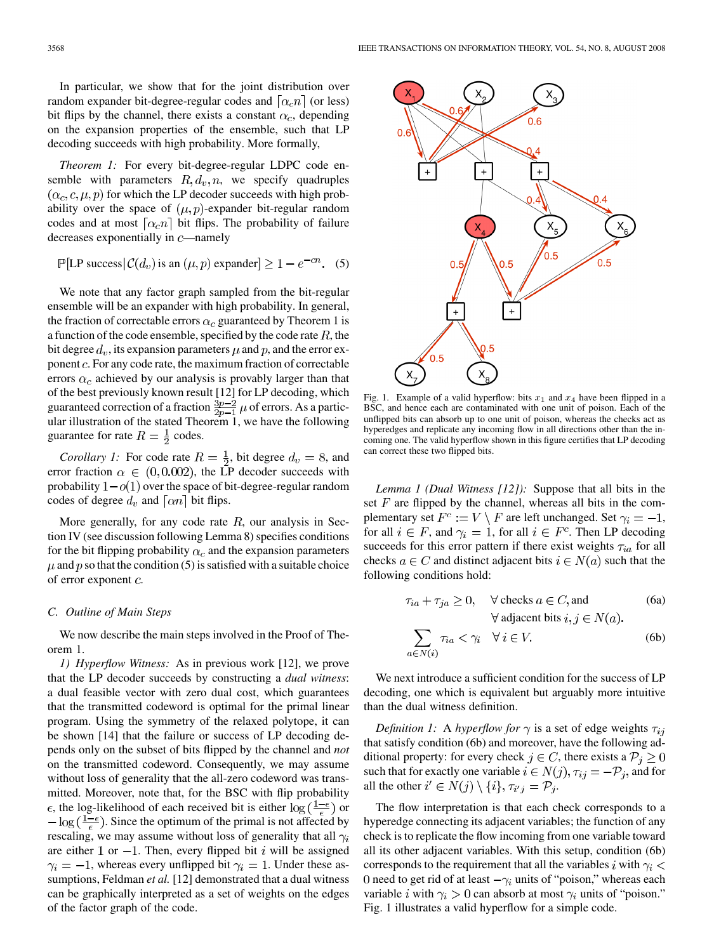In particular, we show that for the joint distribution over random expander bit-degree-regular codes and  $\lceil \alpha_c n \rceil$  (or less) bit flips by the channel, there exists a constant  $\alpha_c$ , depending on the expansion properties of the ensemble, such that LP decoding succeeds with high probability. More formally,

*Theorem 1:* For every bit-degree-regular LDPC code ensemble with parameters  $R, d_v, n$ , we specify quadruples  $(\alpha_c, c, \mu, p)$  for which the LP decoder succeeds with high probability over the space of  $(\mu, p)$ -expander bit-regular random codes and at most  $\lceil \alpha_c n \rceil$  bit flips. The probability of failure decreases exponentially in  $c$ —namely

$$
\mathbb{P}[\text{LP success}|\mathcal{C}(d_v) \text{ is an } (\mu, p) \text{ expander}] \ge 1 - e^{-cn}. \quad (5)
$$

We note that any factor graph sampled from the bit-regular ensemble will be an expander with high probability. In general, the fraction of correctable errors  $\alpha_c$  guaranteed by Theorem 1 is a function of the code ensemble, specified by the code rate  $R$ , the bit degree  $d_v$ , its expansion parameters  $\mu$  and  $p$ , and the error exponent  $c$ . For any code rate, the maximum fraction of correctable errors  $\alpha_c$  achieved by our analysis is provably larger than that of the best previously known result [12] for LP decoding, which guaranteed correction of a fraction  $\frac{3p-2}{2p-1}\mu$  of errors. As a particular illustration of the stated Theorem 1, we have the following guarantee for rate  $R = \frac{1}{2}$  codes.

*Corollary 1:* For code rate  $R = \frac{1}{2}$ , bit degree  $d_v = 8$ , and error fraction  $\alpha \in (0, 0.002)$ , the LP decoder succeeds with probability  $1-o(1)$  over the space of bit-degree-regular random codes of degree  $d_v$  and  $\lceil \alpha n \rceil$  bit flips.

More generally, for any code rate  $R$ , our analysis in Section IV (see discussion following Lemma 8) specifies conditions for the bit flipping probability  $\alpha_c$  and the expansion parameters  $\mu$  and p so that the condition (5) is satisfied with a suitable choice of error exponent  $c$ .

# *C. Outline of Main Steps*

We now describe the main steps involved in the Proof of Theorem 1.

*1) Hyperflow Witness:* As in previous work [12], we prove that the LP decoder succeeds by constructing a *dual witness*: a dual feasible vector with zero dual cost, which guarantees that the transmitted codeword is optimal for the primal linear program. Using the symmetry of the relaxed polytope, it can be shown [14] that the failure or success of LP decoding depends only on the subset of bits flipped by the channel and *not* on the transmitted codeword. Consequently, we may assume without loss of generality that the all-zero codeword was transmitted. Moreover, note that, for the BSC with flip probability  $\epsilon$ , the log-likelihood of each received bit is either  $\log(\frac{1-\epsilon}{\epsilon})$  or  $-\log(\frac{1-\epsilon}{\epsilon})$ . Since the optimum of the primal is not affected by rescaling, we may assume without loss of generality that all  $\gamma_i$ are either 1 or  $-1$ . Then, every flipped bit i will be assigned  $\gamma_i = -1$ , whereas every unflipped bit  $\gamma_i = 1$ . Under these assumptions, Feldman *et al.* [12] demonstrated that a dual witness can be graphically interpreted as a set of weights on the edges of the factor graph of the code.



Fig. 1. Example of a valid hyperflow: bits  $x_1$  and  $x_4$  have been flipped in a BSC, and hence each are contaminated with one unit of poison. Each of the unflipped bits can absorb up to one unit of poison, whereas the checks act as hyperedges and replicate any incoming flow in all directions other than the incoming one. The valid hyperflow shown in this figure certifies that LP decoding can correct these two flipped bits.

*Lemma 1 (Dual Witness [12]):* Suppose that all bits in the set  $F$  are flipped by the channel, whereas all bits in the complementary set  $F^c := V \setminus F$  are left unchanged. Set  $\gamma_i = -1$ , for all  $i \in F$ , and  $\gamma_i = 1$ , for all  $i \in F^c$ . Then LP decoding succeeds for this error pattern if there exist weights  $\tau_{ia}$  for all checks  $a \in C$  and distinct adjacent bits  $i \in N(a)$  such that the following conditions hold:

$$
\tau_{ia} + \tau_{ja} \ge 0, \quad \forall \text{ checks } a \in C, \text{and}
$$
\n
$$
\forall \text{ adjacent bits } i, j \in N(a).
$$
\n
$$
\sum_{a \in N(i)} \tau_{ia} < \gamma_i \quad \forall \ i \in V. \tag{6b}
$$

We next introduce a sufficient condition for the success of LP decoding, one which is equivalent but arguably more intuitive than the dual witness definition.

*Definition 1:* A *hyperflow for*  $\gamma$  is a set of edge weights  $\tau_{ij}$ that satisfy condition (6b) and moreover, have the following additional property: for every check  $j \in C$ , there exists a  $\mathcal{P}_j \geq 0$ such that for exactly one variable  $i \in N(j)$ ,  $\tau_{ij} = -\mathcal{P}_j$ , and for all the other  $i' \in N(j) \setminus \{i\}, \tau_{i'j} = P_j$ .

The flow interpretation is that each check corresponds to a hyperedge connecting its adjacent variables; the function of any check is to replicate the flow incoming from one variable toward all its other adjacent variables. With this setup, condition (6b) corresponds to the requirement that all the variables i with  $\gamma_i$  < 0 need to get rid of at least  $-\gamma_i$  units of "poison," whereas each variable i with  $\gamma_i > 0$  can absorb at most  $\gamma_i$  units of "poison." Fig. 1 illustrates a valid hyperflow for a simple code.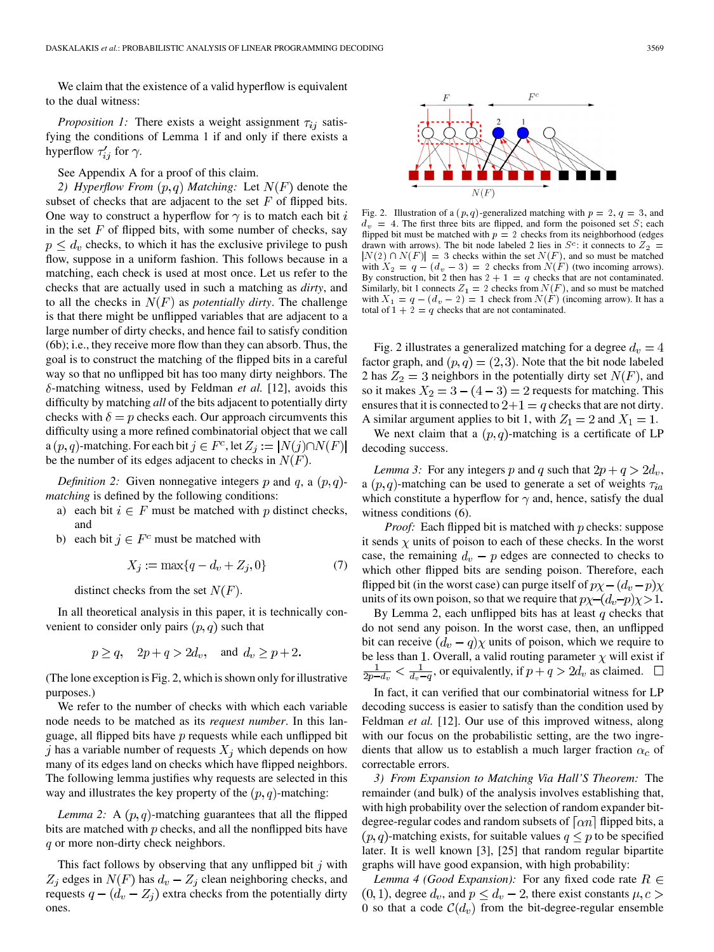We claim that the existence of a valid hyperflow is equivalent to the dual witness:

*Proposition 1:* There exists a weight assignment  $\tau_{ij}$  satisfying the conditions of Lemma 1 if and only if there exists a hyperflow  $\tau'_{ij}$  for  $\gamma$ .

See Appendix A for a proof of this claim.

2) *Hyperflow From*  $(p, q)$  *Matching:* Let  $N(F)$  denote the subset of checks that are adjacent to the set  $F$  of flipped bits. One way to construct a hyperflow for  $\gamma$  is to match each bit i in the set  $F$  of flipped bits, with some number of checks, say  $p \leq d_v$  checks, to which it has the exclusive privilege to push flow, suppose in a uniform fashion. This follows because in a matching, each check is used at most once. Let us refer to the checks that are actually used in such a matching as *dirty*, and to all the checks in  $N(F)$  as *potentially dirty*. The challenge is that there might be unflipped variables that are adjacent to a large number of dirty checks, and hence fail to satisfy condition (6b); i.e., they receive more flow than they can absorb. Thus, the goal is to construct the matching of the flipped bits in a careful way so that no unflipped bit has too many dirty neighbors. The  $\delta$ -matching witness, used by Feldman *et al.* [12], avoids this difficulty by matching *all* of the bits adjacent to potentially dirty checks with  $\delta = p$  checks each. Our approach circumvents this difficulty using a more refined combinatorial object that we call a  $(p, q)$ -matching. For each bit  $j \in F^c$ , let  $Z_j := |N(j) \cap N(F)|$ be the number of its edges adjacent to checks in  $N(F)$ .

*Definition 2:* Given nonnegative integers p and q, a  $(p, q)$ *matching* is defined by the following conditions:

- a) each bit  $i \in F$  must be matched with p distinct checks, and
- b) each bit  $j \in F^c$  must be matched with

$$
X_j := \max\{q - d_v + Z_j, 0\} \tag{7}
$$

distinct checks from the set  $N(F)$ .

In all theoretical analysis in this paper, it is technically convenient to consider only pairs  $(p, q)$  such that

$$
p \ge q, \quad 2p + q > 2d_v, \quad \text{and} \ d_v \ge p + 2.
$$

(The lone exception is Fig. 2, which is shown only for illustrative purposes.)

We refer to the number of checks with which each variable node needs to be matched as its *request number*. In this language, all flipped bits have  $p$  requests while each unflipped bit j has a variable number of requests  $X_i$  which depends on how many of its edges land on checks which have flipped neighbors. The following lemma justifies why requests are selected in this way and illustrates the key property of the  $(p, q)$ -matching:

*Lemma 2:* A  $(p, q)$ -matching guarantees that all the flipped bits are matched with  $p$  checks, and all the nonflipped bits have  $q$  or more non-dirty check neighbors.

This fact follows by observing that any unflipped bit  $j$  with  $Z_j$  edges in  $N(F)$  has  $d_v - Z_j$  clean neighboring checks, and requests  $q - (d_v - Z_j)$  extra checks from the potentially dirty ones.



Fig. 2. Illustration of a  $(p, q)$ -generalized matching with  $p = 2, q = 3$ , and  $d_v = 4$ . The first three bits are flipped, and form the poisoned set S; each flipped bit must be matched with  $p = 2$  checks from its neighborhood (edges drawn with arrows). The bit node labeled 2 lies in  $S^c$ : it connects to  $Z_2$  =  $|N(2) \cap N(F)| = 3$  checks within the set  $N(F)$ , and so must be matched with  $X_2 = q - (d_v - 3) = 2$  checks from  $N(F)$  (two incoming arrows). By construction, bit 2 then has  $2 + 1 = q$  checks that are not contaminated. Similarly, bit 1 connects  $Z_1 = 2$  checks from  $N(F)$ , and so must be matched with  $X_1 = q - (d_v - 2) = 1$  check from  $N(F)$  (incoming arrow). It has a total of  $1+2=q$  checks that are not contaminated.

Fig. 2 illustrates a generalized matching for a degree  $d_v = 4$ factor graph, and  $(p, q) = (2, 3)$ . Note that the bit node labeled 2 has  $Z_2 = 3$  neighbors in the potentially dirty set  $N(F)$ , and so it makes  $X_2 = 3 - (4 - 3) = 2$  requests for matching. This ensures that it is connected to  $2+1 = q$  checks that are not dirty. A similar argument applies to bit 1, with  $Z_1 = 2$  and  $X_1 = 1$ .

We next claim that a  $(p, q)$ -matching is a certificate of LP decoding success.

*Lemma 3:* For any integers p and q such that  $2p + q > 2d_v$ , a  $(p, q)$ -matching can be used to generate a set of weights  $\tau_{ia}$ which constitute a hyperflow for  $\gamma$  and, hence, satisfy the dual witness conditions  $(6)$ .

*Proof:* Each flipped bit is matched with  $p$  checks: suppose it sends  $\chi$  units of poison to each of these checks. In the worst case, the remaining  $d_v - p$  edges are connected to checks to which other flipped bits are sending poison. Therefore, each flipped bit (in the worst case) can purge itself of  $p\chi - (d_v - p)\chi$ units of its own poison, so that we require that  $p\chi$ – $(d_v-p)\chi$  > 1.

By Lemma 2, each unflipped bits has at least  $q$  checks that do not send any poison. In the worst case, then, an unflipped bit can receive  $(d_v - q)\chi$  units of poison, which we require to be less than 1. Overall, a valid routing parameter  $\chi$  will exist if  $\frac{1}{2p-d_v} < \frac{1}{d_v-q}$ , or equivalently, if  $p+q > 2d_v$  as claimed.  $\Box$ 

In fact, it can verified that our combinatorial witness for LP decoding success is easier to satisfy than the condition used by Feldman *et al.* [12]. Our use of this improved witness, along with our focus on the probabilistic setting, are the two ingredients that allow us to establish a much larger fraction  $\alpha_c$  of correctable errors.

*3) From Expansion to Matching Via Hall'S Theorem:* The remainder (and bulk) of the analysis involves establishing that, with high probability over the selection of random expander bitdegree-regular codes and random subsets of  $\lceil \alpha n \rceil$  flipped bits, a  $(p,q)$ -matching exists, for suitable values  $q \leq p$  to be specified later. It is well known [3], [25] that random regular bipartite graphs will have good expansion, with high probability:

*Lemma 4 (Good Expansion):* For any fixed code rate  $R \in$  $(0, 1)$ , degree  $d_v$ , and  $p \leq d_v - 2$ , there exist constants  $\mu, c > 0$ 0 so that a code  $\mathcal{C}(d_v)$  from the bit-degree-regular ensemble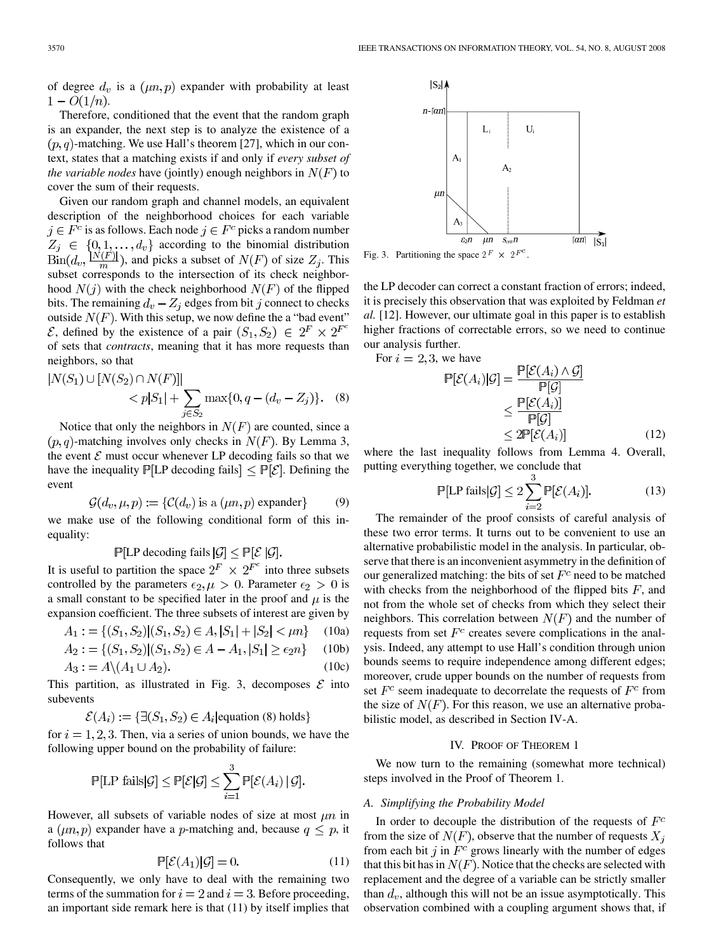of degree  $d_v$  is a  $(\mu n, p)$  expander with probability at least  $1 - O(1/n)$ .

Therefore, conditioned that the event that the random graph is an expander, the next step is to analyze the existence of a  $(p, q)$ -matching. We use Hall's theorem [27], which in our context, states that a matching exists if and only if *every subset of the variable nodes* have (jointly) enough neighbors in  $N(F)$  to cover the sum of their requests.

Given our random graph and channel models, an equivalent description of the neighborhood choices for each variable  $j \in F^c$  is as follows. Each node  $j \in F^c$  picks a random number  $Z_j \in \{0, 1, \ldots, d_v\}$  according to the binomial distribution  $\overrightarrow{Bin(d_v, \frac{[N(F)]}{m})}$ , and picks a subset of  $N(F)$  of size  $Z_j$ . This subset corresponds to the intersection of its check neighborhood  $N(j)$  with the check neighborhood  $N(F)$  of the flipped bits. The remaining  $d_v - Z_j$  edges from bit j connect to checks outside  $N(F)$ . With this setup, we now define the a "bad event"  $\mathcal{E}$ , defined by the existence of a pair  $(S_1, S_2) \in 2^F \times 2^{F^c}$ of sets that *contracts*, meaning that it has more requests than neighbors, so that

$$
|N(S_1) \cup [N(S_2) \cap N(F)]|
$$
  
< 
$$
< p|S_1| + \sum_{j \in S_2} \max\{0, q - (d_v - Z_j)\}.
$$
 (8)

Notice that only the neighbors in  $N(F)$  are counted, since a  $(p, q)$ -matching involves only checks in  $N(F)$ . By Lemma 3, the event  $\mathcal E$  must occur whenever LP decoding fails so that we have the inequality  $\mathbb{P}[\text{LP decoding fails}] \leq \mathbb{P}[\mathcal{E}]$ . Defining the event

$$
\mathcal{G}(d_v, \mu, p) := \{ \mathcal{C}(d_v) \text{ is a } (\mu n, p) \text{ expander} \} \tag{9}
$$

we make use of the following conditional form of this inequality:

 $\mathbb{P}[\text{LP decoding fails}|\mathcal{G}] \leq \mathbb{P}[\mathcal{E}|\mathcal{G}].$ 

It is useful to partition the space  $2^F \times 2^{F^c}$  into three subsets controlled by the parameters  $\epsilon_2$ ,  $\mu > 0$ . Parameter  $\epsilon_2 > 0$  is a small constant to be specified later in the proof and  $\mu$  is the expansion coefficient. The three subsets of interest are given by

$$
A_1 := \{(S_1, S_2) | (S_1, S_2) \in A, |S_1| + |S_2| < \mu n\} \tag{10a}
$$

$$
A_2 := \{(S_1, S_2) | (S_1, S_2) \in A - A_1, |S_1| \ge \epsilon_2 n\}
$$
 (10b)

$$
A_3 := A \setminus (A_1 \cup A_2). \tag{10c}
$$

This partition, as illustrated in Fig. 3, decomposes  $\mathcal E$  into subevents

$$
\mathcal{E}(A_i) := \{ \exists (S_1, S_2) \in A_i | \text{equation (8) holds} \}
$$

for  $i = 1, 2, 3$ . Then, via a series of union bounds, we have the following upper bound on the probability of failure:

$$
\mathbb{P}[\text{LP fails}|\mathcal{G}] \le \mathbb{P}[\mathcal{E}|\mathcal{G}] \le \sum_{i=1}^{3} \mathbb{P}[\mathcal{E}(A_i) | \mathcal{G}].
$$

However, all subsets of variable nodes of size at most  $\mu$ n in a  $(\mu n, p)$  expander have a p-matching and, because  $q \leq p$ , it follows that

$$
\mathbb{P}[\mathcal{E}(A_1)|\mathcal{G}] = 0. \tag{11}
$$

Consequently, we only have to deal with the remaining two terms of the summation for  $i = 2$  and  $i = 3$ . Before proceeding, an important side remark here is that (11) by itself implies that



the LP decoder can correct a constant fraction of errors; indeed, it is precisely this observation that was exploited by Feldman *et al.* [12]. However, our ultimate goal in this paper is to establish higher fractions of correctable errors, so we need to continue our analysis further.

For 
$$
i = 2, 3
$$
, we have  
\n
$$
\mathbb{P}[\mathcal{E}(A_i)|\mathcal{G}] = \frac{\mathbb{P}[\mathcal{E}(A_i) \wedge \mathcal{G}]}{\mathbb{P}[\mathcal{G}]}
$$
\n
$$
\leq \frac{\mathbb{P}[\mathcal{E}(A_i)]}{\mathbb{P}[\mathcal{G}]}
$$
\n
$$
\leq 2\mathbb{P}[\mathcal{E}(A_i)]
$$
\n(12)

where the last inequality follows from Lemma 4. Overall, putting everything together, we conclude that

$$
\mathbb{P}[\text{LP fails}|\mathcal{G}] \le 2 \sum_{i=2}^{3} \mathbb{P}[\mathcal{E}(A_i)]. \tag{13}
$$

The remainder of the proof consists of careful analysis of these two error terms. It turns out to be convenient to use an alternative probabilistic model in the analysis. In particular, observe that there is an inconvenient asymmetry in the definition of our generalized matching: the bits of set  $F<sup>c</sup>$  need to be matched with checks from the neighborhood of the flipped bits  $F$ , and not from the whole set of checks from which they select their neighbors. This correlation between  $N(F)$  and the number of requests from set  $F<sup>c</sup>$  creates severe complications in the analysis. Indeed, any attempt to use Hall's condition through union bounds seems to require independence among different edges; moreover, crude upper bounds on the number of requests from set  $F<sup>c</sup>$  seem inadequate to decorrelate the requests of  $F<sup>c</sup>$  from the size of  $N(F)$ . For this reason, we use an alternative probabilistic model, as described in Section IV-A.

# IV. PROOF OF THEOREM 1

We now turn to the remaining (somewhat more technical) steps involved in the Proof of Theorem 1.

## *A. Simplifying the Probability Model*

In order to decouple the distribution of the requests of  $F<sup>c</sup>$ from the size of  $N(F)$ , observe that the number of requests  $X_i$ from each bit  $j$  in  $F<sup>c</sup>$  grows linearly with the number of edges that this bit has in  $N(F)$ . Notice that the checks are selected with replacement and the degree of a variable can be strictly smaller than  $d_v$ , although this will not be an issue asymptotically. This observation combined with a coupling argument shows that, if

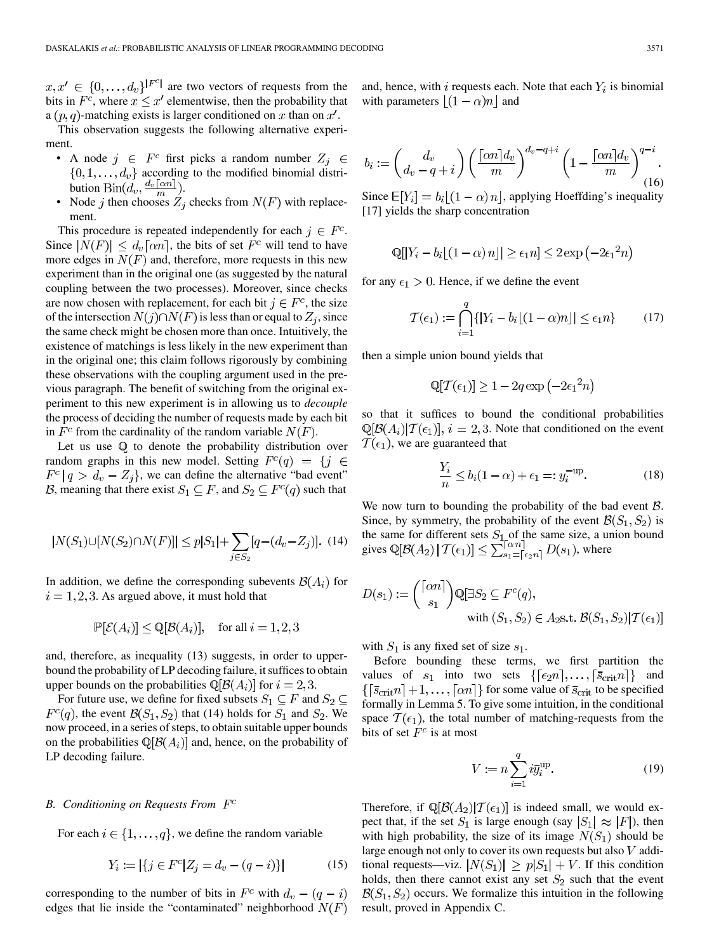$x, x' \in \{0, \ldots, d_v\}^{|F^c|}$  are two vectors of requests from the bits in  $F^c$ , where  $x \leq x'$  elementwise, then the probability that a  $(p, q)$ -matching exists is larger conditioned on x than on x'.

This observation suggests the following alternative experiment.

- A node  $j \in F^c$  first picks a random number  $Z_j \in$  $\{0, 1, \ldots, d_v\}$  according to the modified binomial distribution  $\text{Bin}(d_v, \frac{a_v + \alpha n}{m})$ .
- Node j then chooses  $Z_i$  checks from  $N(F)$  with replacement.

This procedure is repeated independently for each  $j \in F^c$ . Since  $|N(F)| \le d_v \lceil \alpha n \rceil$ , the bits of set  $F^c$  will tend to have more edges in  $N(F)$  and, therefore, more requests in this new experiment than in the original one (as suggested by the natural coupling between the two processes). Moreover, since checks are now chosen with replacement, for each bit  $j \in F^c$ , the size of the intersection  $N(j) \cap N(F)$  is less than or equal to  $Z_j$ , since the same check might be chosen more than once. Intuitively, the existence of matchings is less likely in the new experiment than in the original one; this claim follows rigorously by combining these observations with the coupling argument used in the previous paragraph. The benefit of switching from the original experiment to this new experiment is in allowing us to *decouple* the process of deciding the number of requests made by each bit in  $F^c$  from the cardinality of the random variable  $N(F)$ .

Let us use  $Q$  to denote the probability distribution over random graphs in this new model. Setting  $F^c(q) = \{j \in$  $\mathbb{F}^c | q > d_v - Z_j$ , we can define the alternative "bad event" B, meaning that there exist  $S_1 \subseteq F$ , and  $S_2 \subseteq F^c(q)$  such that

$$
|N(S_1) \cup [N(S_2) \cap N(F)]| \le p|S_1| + \sum_{j \in S_2} [q - (d_v - Z_j)]. \tag{14}
$$

In addition, we define the corresponding subevents  $\mathcal{B}(A_i)$  for  $i = 1, 2, 3$ . As argued above, it must hold that

$$
\mathbb{P}[\mathcal{E}(A_i)] \le \mathbb{Q}[\mathcal{B}(A_i)], \quad \text{for all } i = 1, 2, 3
$$

and, therefore, as inequality (13) suggests, in order to upperbound the probability of LP decoding failure, it suffices to obtain upper bounds on the probabilities  $\mathbb{Q}[\mathcal{B}(A_i)]$  for  $i = 2, 3$ .

For future use, we define for fixed subsets  $S_1 \subseteq F$  and  $S_2 \subseteq$  $F<sup>c</sup>(q)$ , the event  $\mathcal{B}(S_1, S_2)$  that (14) holds for  $S_1$  and  $S_2$ . We now proceed, in a series of steps, to obtain suitable upper bounds on the probabilities  $\mathbb{Q}[\mathcal{B}(A_i)]$  and, hence, on the probability of LP decoding failure.

# *B. Conditioning on Requests From*

For each  $i \in \{1, \ldots, q\}$ , we define the random variable

$$
Y_i := |\{ j \in F^c | Z_j = d_v - (q - i) \}| \tag{15}
$$

corresponding to the number of bits in  $F^c$  with  $d_v - (q - i)$ edges that lie inside the "contaminated" neighborhood  $N(F)$  and, hence, with i requests each. Note that each  $Y_i$  is binomial with parameters  $|(1 - \alpha)n|$  and

$$
b_i := \left(\frac{d_v}{d_v - q + i}\right) \left(\frac{\lceil \alpha n \rceil d_v}{m}\right)^{d_v - q + i} \left(1 - \frac{\lceil \alpha n \rceil d_v}{m}\right)^{q - i}.
$$
\n(16)

Since  $\mathbb{E}[Y_i] = b_i \lfloor (1 - \alpha) n \rfloor$ , applying Hoeffding's inequality [17] yields the sharp concentration

$$
\mathbb{Q}[|Y_i - b_i|(1 - \alpha)n]| \ge \epsilon_1 n] \le 2 \exp(-2\epsilon_1^2 n)
$$

for any  $\epsilon_1 > 0$ . Hence, if we define the event

$$
\mathcal{T}(\epsilon_1) := \bigcap_{i=1}^q \{ |Y_i - b_i| (1 - \alpha)n \} | \le \epsilon_1 n \}
$$
 (17)

then a simple union bound yields that

$$
\mathbb{Q}[\mathcal{T}(\epsilon_1)] \ge 1 - 2q \exp(-2\epsilon_1^2 n)
$$

so that it suffices to bound the conditional probabilities  $\mathbb{Q}[\mathcal{B}(A_i)|\mathcal{T}(\epsilon_1)], i = 2,3.$  Note that conditioned on the event  $\mathcal{T}(\epsilon_1)$ , we are guaranteed that

$$
\frac{Y_i}{n} \le b_i (1 - \alpha) + \epsilon_1 =: y_i^{-\text{up}}.
$$
\n(18)

We now turn to bounding the probability of the bad event  $\beta$ . Since, by symmetry, the probability of the event  $\mathcal{B}(S_1, S_2)$  is the same for different sets  $S_1$  of the same size, a union bound gives  $\mathbb{Q}[\mathcal{B}(A_2) | \mathcal{T}(\epsilon_1)] \leq \sum_{s_1 = \lceil \epsilon_2 n \rceil}^{\lceil \alpha n \rceil} D(s_1)$ , where

$$
D(s_1) := \binom{\lceil \alpha n \rceil}{s_1} \mathbb{Q}[\exists S_2 \subseteq F^c(q),
$$
  
with  $(S_1, S_2) \in A_2$ s.t.  $\mathcal{B}(S_1, S_2) | \mathcal{T}(\epsilon_1)|$ 

with  $S_1$  is any fixed set of size  $s_1$ .

Before bounding these terms, we first partition the values of  $s_1$  into two sets  $\{\lceil \epsilon_2 n \rceil, \ldots, \lceil \bar{s}_{\text{crit}} n \rceil\}$  and  $\{\lceil \vec{s}_{\text{crit}} n \rceil + 1, \ldots, \lceil \alpha n \rceil\}$  for some value of  $\vec{s}_{\text{crit}}$  to be specified formally in Lemma 5. To give some intuition, in the conditional space  $\mathcal{T}(\epsilon_1)$ , the total number of matching-requests from the bits of set  $F^c$  is at most

$$
V := n \sum_{i=1}^{q} i \bar{y}_i^{\text{up}}.
$$
 (19)

Therefore, if  $\mathbb{Q}[\mathcal{B}(A_2)|\mathcal{T}(\epsilon_1)]$  is indeed small, we would expect that, if the set  $S_1$  is large enough (say  $|S_1| \approx |F|$ ), then with high probability, the size of its image  $N(S_1)$  should be large enough not only to cover its own requests but also  $V$  additional requests—viz.  $|N(S_1)| \geq p|S_1| + V$ . If this condition holds, then there cannot exist any set  $S_2$  such that the event  $\mathcal{B}(S_1, S_2)$  occurs. We formalize this intuition in the following result, proved in Appendix C.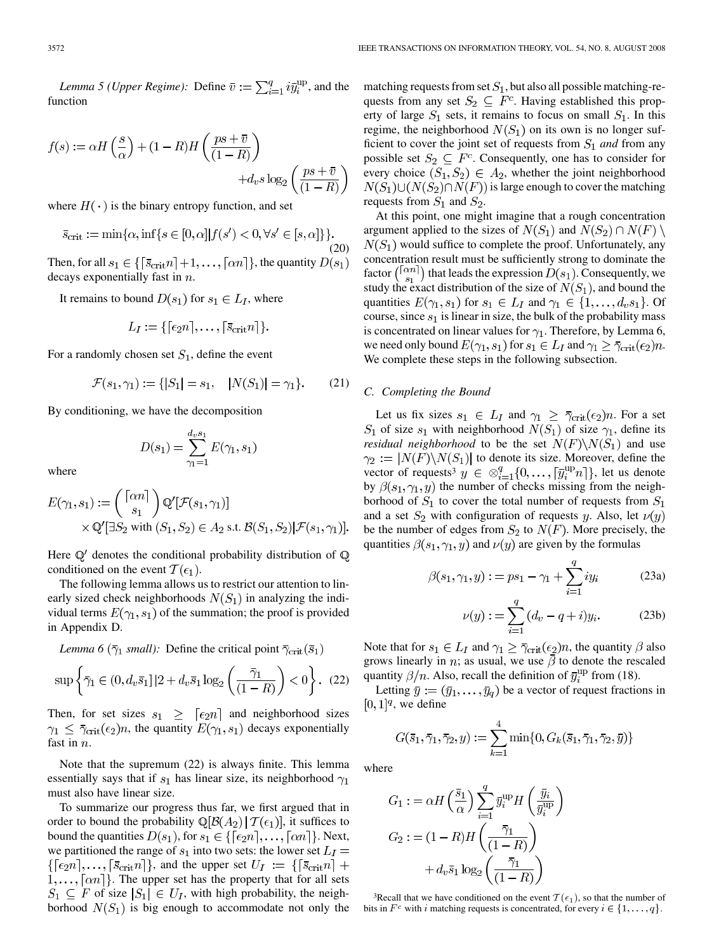*Lemma 5 (Upper Regime):* Define  $\overline{v} := \sum_{i=1}^{q} i \overline{y}_i^{\text{up}}$ , and the function

$$
f(s) := \alpha H\left(\frac{s}{\alpha}\right) + (1 - R)H\left(\frac{ps + \overline{v}}{(1 - R)}\right) + d_v s \log_2\left(\frac{ps + \overline{v}}{(1 - R)}\right)
$$

where  $H(\cdot)$  is the binary entropy function, and set

$$
\overline{s}_{\text{crit}} := \min\{\alpha, \inf\{s \in [0, \alpha] | f(s') < 0, \forall s' \in [s, \alpha] \}\}.
$$
\n<sup>(20)</sup>

Then, for all  $s_1 \in \{\lceil \overline{s}_{\text{crit}} n \rceil + 1, \ldots, \lceil \alpha n \rceil\}$ , the quantity  $D(s_1)$ decays exponentially fast in  $n$ .

It remains to bound  $D(s_1)$  for  $s_1 \in L_I$ , where

$$
L_I := \{ \lceil \epsilon_2 n \rceil, \ldots, \lceil \bar{s}_{\text{crit}} n \rceil \}.
$$

For a randomly chosen set  $S_1$ , define the event

$$
\mathcal{F}(s_1, \gamma_1) := \{ |S_1| = s_1, \quad |N(S_1)| = \gamma_1 \}. \tag{21}
$$

By conditioning, we have the decomposition

$$
D(s_1) = \sum_{\gamma_1=1}^{d_v s_1} E(\gamma_1, s_1)
$$

where

$$
E(\gamma_1, s_1) := \begin{pmatrix} \lceil \alpha n \rceil \\ s_1 \end{pmatrix} \mathbb{Q}'[\mathcal{F}(s_1, \gamma_1)]
$$
  
 
$$
\times \mathbb{Q}'[\exists S_2 \text{ with } (S_1, S_2) \in A_2 \text{ s.t. } \mathcal{B}(S_1, S_2)|\mathcal{F}(s_1, \gamma_1)].
$$

Here  $\mathbb{Q}'$  denotes the conditional probability distribution of  $\mathbb{Q}$ conditioned on the event  $\mathcal{T}(\epsilon_1)$ .

The following lemma allows us to restrict our attention to linearly sized check neighborhoods  $N(S_1)$  in analyzing the individual terms  $E(\gamma_1, s_1)$  of the summation; the proof is provided in Appendix D.

Lemma 6 (
$$
\bar{\gamma}_1
$$
 small): Define the critical point  $\bar{\gamma}_{\text{crit}}(\bar{s}_1)$ 

$$
\sup \left\{ \bar{\gamma}_1 \in (0, d_v \bar{s}_1] \, | \, 2 + d_v \bar{s}_1 \log_2 \left( \frac{\bar{\gamma}_1}{(1 - R)} \right) < 0 \right\}. \tag{22}
$$

Then, for set sizes  $s_1 \geq \lceil \epsilon_2 n \rceil$  and neighborhood sizes  $\gamma_1 \leq \overline{\gamma}_{\text{crit}}(\epsilon_2)n$ , the quantity  $E(\gamma_1, s_1)$  decays exponentially fast in  $n$ .

Note that the supremum (22) is always finite. This lemma essentially says that if  $s_1$  has linear size, its neighborhood  $\gamma_1$ must also have linear size.

To summarize our progress thus far, we first argued that in order to bound the probability  $\mathbb{Q}[\mathcal{B}(A_2) | \mathcal{T}(\epsilon_1)]$ , it suffices to bound the quantities  $D(s_1)$ , for  $s_1 \in \{\lceil \epsilon_2 n \rceil, \ldots, \lceil \alpha n \rceil\}$ . Next, we partitioned the range of  $s_1$  into two sets: the lower set  $L_I =$  $\{\lceil \epsilon_2 n \rceil, \ldots, \lceil \bar{s}_{\text{crit}} n \rceil\},\$  and the upper set  $U_I := \{\lceil \bar{s}_{\text{crit}} n \rceil +$  $1, \ldots, \lceil \alpha n \rceil$ . The upper set has the property that for all sets  $S_1 \subseteq F$  of size  $|S_1| \in U_I$ , with high probability, the neighborhood  $N(S_1)$  is big enough to accommodate not only the matching requests from set  $S_1$ , but also all possible matching-requests from any set  $S_2 \subseteq F^c$ . Having established this property of large  $S_1$  sets, it remains to focus on small  $S_1$ . In this regime, the neighborhood  $N(S_1)$  on its own is no longer sufficient to cover the joint set of requests from  $S_1$  and from any possible set  $S_2 \subseteq F^c$ . Consequently, one has to consider for every choice  $(S_1, S_2) \in A_2$ , whether the joint neighborhood  $N(S_1) \cup (N(S_2) \cap N(F))$  is large enough to cover the matching requests from  $S_1$  and  $S_2$ .

At this point, one might imagine that a rough concentration argument applied to the sizes of  $N(S_1)$  and  $N(S_2) \cap N(F) \setminus \{$  $N(S_1)$  would suffice to complete the proof. Unfortunately, any concentration result must be sufficiently strong to dominate the factor  $\binom{\lceil \alpha n \rceil}{s_1}$  that leads the expression  $D(s_1)$ . Consequently, we study the exact distribution of the size of  $N(S_1)$ , and bound the quantities  $E(\gamma_1, s_1)$  for  $s_1 \in L_I$  and  $\gamma_1 \in \{1, \ldots, d_v s_1\}$ . Of course, since  $s_1$  is linear in size, the bulk of the probability mass is concentrated on linear values for  $\gamma_1$ . Therefore, by Lemma 6, we need only bound  $E(\gamma_1, s_1)$  for  $s_1 \in L_I$  and  $\gamma_1 \geq \overline{\gamma}_{\text{crit}}(\epsilon_2)n$ . We complete these steps in the following subsection.

# *C. Completing the Bound*

Let us fix sizes  $s_1 \in L_I$  and  $\gamma_1 \geq \overline{\gamma}_{\rm crit}(\epsilon_2)n$ . For a set  $S_1$  of size  $s_1$  with neighborhood  $N(S_1)$  of size  $\gamma_1$ , define its *residual neighborhood* to be the set  $N(F)\N(S_1)$  and use  $\gamma_2 := |N(F)\backslash N(S_1)|$  to denote its size. Moreover, define the vector of requests<sup>3</sup>  $y \in \mathcal{A}_{i=1}^q \{0, \ldots, \lceil \bar{y}_i^{\text{up}} n \rceil\}$ , let us denote by  $\beta(s_1, \gamma_1, y)$  the number of checks missing from the neighborhood of  $S_1$  to cover the total number of requests from  $S_1$ and a set  $S_2$  with configuration of requests y. Also, let  $\nu(y)$ be the number of edges from  $S_2$  to  $N(F)$ . More precisely, the quantities  $\beta(s_1, \gamma_1, y)$  and  $\nu(y)$  are given by the formulas

$$
\beta(s_1, \gamma_1, y) := ps_1 - \gamma_1 + \sum_{i=1}^{q} iy_i \tag{23a}
$$

$$
\nu(y) := \sum_{i=1}^{q} (d_v - q + i) y_i.
$$
 (23b)

Note that for  $s_1 \in L_I$  and  $\gamma_1 \geq \overline{\gamma}_{\text{crit}}(\epsilon_2)n$ , the quantity  $\beta$  also grows linearly in n; as usual, we use  $\overline{\beta}$  to denote the rescaled quantity  $\beta/n$ . Also, recall the definition of  $\bar{y}_i^{\text{up}}$  from (18).

Letting  $\bar{y} := (\bar{y}_1, \dots, \bar{y}_q)$  be a vector of request fractions in  $[0, 1]^q$ , we define

$$
G(\bar{s}_1, \bar{\gamma}_1, \bar{\gamma}_2, y) := \sum_{k=1}^4 \min\{0, G_k(\bar{s}_1, \bar{\gamma}_1, \bar{\gamma}_2, \bar{y})\}
$$

where

$$
G_1 := \alpha H \left(\frac{\overline{s}_1}{\alpha}\right) \sum_{i=1}^q \overline{y}_i^{\text{up}} H \left(\frac{\overline{y}_i}{\overline{y}_i^{\text{up}}} \right)
$$

$$
G_2 := (1 - R) H \left(\frac{\overline{\gamma}_1}{(1 - R)}\right)
$$

$$
+ d_v \overline{s}_1 \log_2 \left(\frac{\overline{\gamma}_1}{(1 - R)}\right)
$$

<sup>3</sup>Recall that we have conditioned on the event  $\mathcal{T}(\epsilon_1)$ , so that the number of bits in  $F^c$  with i matching requests is concentrated, for every  $i \in \{1, \ldots, q\}$ .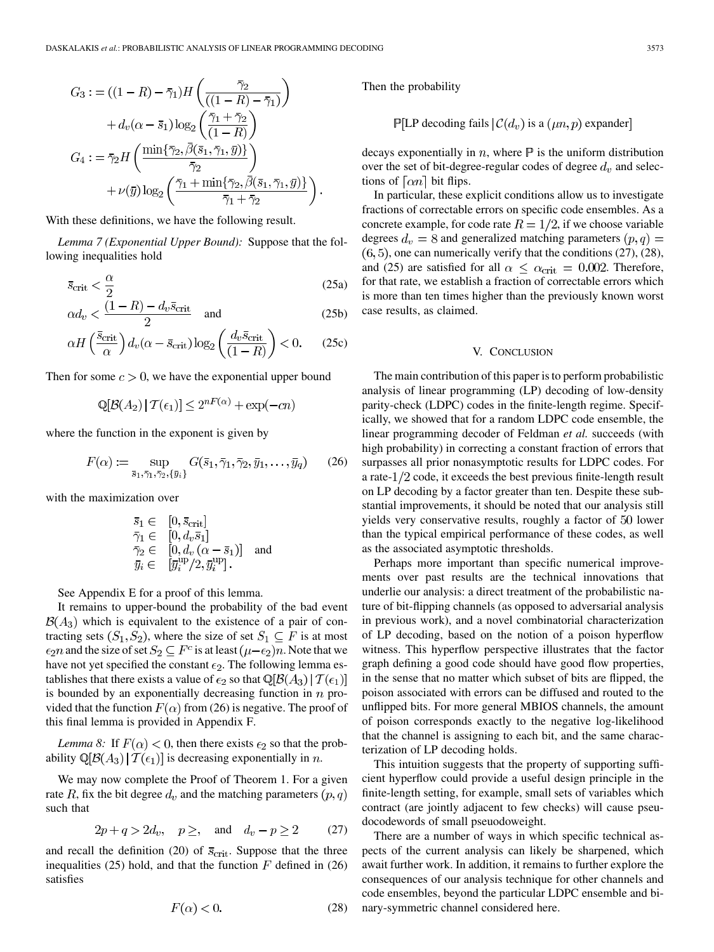$$
G_3 := ((1 - R) - \bar{\gamma}_1)H\left(\frac{\bar{\gamma}_2}{((1 - R) - \bar{\gamma}_1)}\right)
$$
  
+ 
$$
d_v(\alpha - \bar{s}_1) \log_2\left(\frac{\bar{\gamma}_1 + \bar{\gamma}_2}{(1 - R)}\right)
$$
  

$$
G_4 := \bar{\gamma}_2 H\left(\frac{\min\{\bar{\gamma}_2, \bar{\beta}(\bar{s}_1, \bar{\gamma}_1, \bar{y})\}}{\bar{\gamma}_2}\right)
$$
  
+ 
$$
\nu(\bar{y}) \log_2\left(\frac{\bar{\gamma}_1 + \min\{\bar{\gamma}_2, \bar{\beta}(\bar{s}_1, \bar{\gamma}_1, \bar{y})\}}{\bar{\gamma}_1 + \bar{\gamma}_2}\right).
$$

With these definitions, we have the following result.

*Lemma 7 (Exponential Upper Bound):* Suppose that the following inequalities hold

$$
\overline{s}_{\rm crit} < \frac{\alpha}{2} \tag{25a}
$$

$$
\alpha d_v < \frac{(1 - R) - d_v \bar{s}_{\text{crit}}}{2} \quad \text{and} \tag{25b}
$$

$$
\alpha H\left(\frac{\bar{s}_{\rm crit}}{\alpha}\right) d_v(\alpha - \bar{s}_{\rm crit}) \log_2\left(\frac{d_v \bar{s}_{\rm crit}}{(1 - R)}\right) < 0. \tag{25c}
$$

Then for some  $c > 0$ , we have the exponential upper bound

$$
\mathbb{Q}[\mathcal{B}(A_2) | \mathcal{T}(\epsilon_1)] \le 2^{n(\alpha)} + \exp(-cn)
$$

where the function in the exponent is given by

$$
F(\alpha) := \sup_{\bar{s}_1, \bar{\gamma}_1, \bar{\gamma}_2, \{\bar{y}_i\}} G(\bar{s}_1, \bar{\gamma}_1, \bar{\gamma}_2, \bar{y}_1, \dots, \bar{y}_q) \qquad (26)
$$

with the maximization over

$$
\begin{array}{lcl}\n\bar{s}_1 \in & [0, \bar{s}_{\text{crit}}] \\
\bar{\gamma}_1 \in & [0, d_v \bar{s}_1] \\
\bar{\gamma}_2 \in & [0, d_v (\alpha - \bar{s}_1)] \quad \text{and} \\
\bar{y}_i \in & [\bar{y}_i^{\text{up}}/2, \bar{y}_i^{\text{up}}].\n\end{array}
$$

See Appendix E for a proof of this lemma.

It remains to upper-bound the probability of the bad event  $\mathcal{B}(A_3)$  which is equivalent to the existence of a pair of contracting sets  $(S_1, S_2)$ , where the size of set  $S_1 \subseteq F$  is at most  $\epsilon_2 n$  and the size of set  $S_2 \subseteq F^c$  is at least  $(\mu - \epsilon_2)n$ . Note that we have not yet specified the constant  $\epsilon_2$ . The following lemma establishes that there exists a value of  $\epsilon_2$  so that  $\mathbb{Q}[\mathcal{B}(A_3) | \mathcal{T}(\epsilon_1)]$ is bounded by an exponentially decreasing function in  $n$  provided that the function  $F(\alpha)$  from (26) is negative. The proof of this final lemma is provided in Appendix F.

*Lemma 8:* If  $F(\alpha) < 0$ , then there exists  $\epsilon_2$  so that the probability  $\mathbb{Q}[\mathcal{B}(A_3) | \mathcal{T}(\epsilon_1)]$  is decreasing exponentially in n.

We may now complete the Proof of Theorem 1. For a given rate R, fix the bit degree  $d_v$  and the matching parameters  $(p, q)$ such that

$$
2p + q > 2d_v, \quad p \geq, \quad \text{and} \quad d_v - p \geq 2 \tag{27}
$$

and recall the definition (20) of  $\bar{s}_{\text{crit}}$ . Suppose that the three inequalities (25) hold, and that the function  $F$  defined in (26) satisfies

$$
F(\alpha) < 0. \tag{28}
$$

Then the probability

 $\mathbb{P}[\text{LP decoding fails} | \mathcal{C}(d_v) \text{ is a } (\mu n, p) \text{ expander}]$ 

decays exponentially in  $n$ , where  $\mathbb P$  is the uniform distribution over the set of bit-degree-regular codes of degree  $d_v$  and selections of  $\lceil \alpha n \rceil$  bit flips.

In particular, these explicit conditions allow us to investigate fractions of correctable errors on specific code ensembles. As a concrete example, for code rate  $R = 1/2$ , if we choose variable degrees  $d_v = 8$  and generalized matching parameters  $(p, q) =$  $(6, 5)$ , one can numerically verify that the conditions  $(27)$ ,  $(28)$ , and (25) are satisfied for all  $\alpha \leq \alpha_{\rm crit} = 0.002$ . Therefore, for that rate, we establish a fraction of correctable errors which is more than ten times higher than the previously known worst case results, as claimed.

# V. CONCLUSION

The main contribution of this paper is to perform probabilistic analysis of linear programming (LP) decoding of low-density parity-check (LDPC) codes in the finite-length regime. Specifically, we showed that for a random LDPC code ensemble, the linear programming decoder of Feldman *et al.* succeeds (with high probability) in correcting a constant fraction of errors that surpasses all prior nonasymptotic results for LDPC codes. For a rate- $1/2$  code, it exceeds the best previous finite-length result on LP decoding by a factor greater than ten. Despite these substantial improvements, it should be noted that our analysis still yields very conservative results, roughly a factor of 50 lower than the typical empirical performance of these codes, as well as the associated asymptotic thresholds.

Perhaps more important than specific numerical improvements over past results are the technical innovations that underlie our analysis: a direct treatment of the probabilistic nature of bit-flipping channels (as opposed to adversarial analysis in previous work), and a novel combinatorial characterization of LP decoding, based on the notion of a poison hyperflow witness. This hyperflow perspective illustrates that the factor graph defining a good code should have good flow properties, in the sense that no matter which subset of bits are flipped, the poison associated with errors can be diffused and routed to the unflipped bits. For more general MBIOS channels, the amount of poison corresponds exactly to the negative log-likelihood that the channel is assigning to each bit, and the same characterization of LP decoding holds.

This intuition suggests that the property of supporting sufficient hyperflow could provide a useful design principle in the finite-length setting, for example, small sets of variables which contract (are jointly adjacent to few checks) will cause pseudocodewords of small pseuodoweight.

There are a number of ways in which specific technical aspects of the current analysis can likely be sharpened, which await further work. In addition, it remains to further explore the consequences of our analysis technique for other channels and code ensembles, beyond the particular LDPC ensemble and binary-symmetric channel considered here.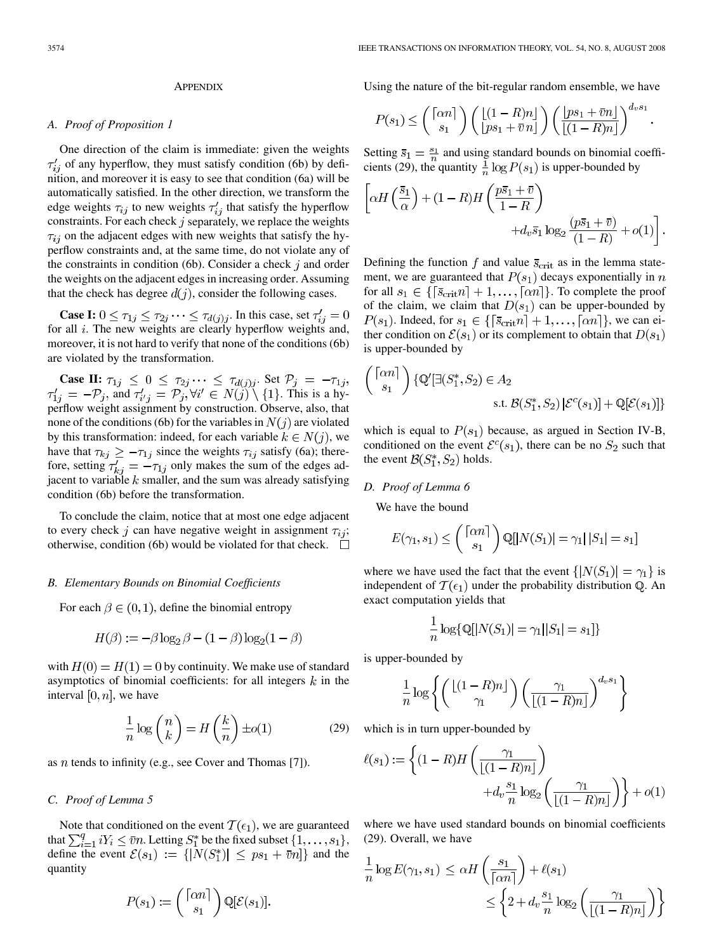## **APPENDIX**

# *A. Proof of Proposition 1*

One direction of the claim is immediate: given the weights  $\tau'_{ij}$  of any hyperflow, they must satisfy condition (6b) by definition, and moreover it is easy to see that condition (6a) will be automatically satisfied. In the other direction, we transform the edge weights  $\tau_{ij}$  to new weights  $\tau'_{ij}$  that satisfy the hyperflow constraints. For each check  $j$  separately, we replace the weights  $\tau_{ij}$  on the adjacent edges with new weights that satisfy the hyperflow constraints and, at the same time, do not violate any of the constraints in condition (6b). Consider a check  $j$  and order the weights on the adjacent edges in increasing order. Assuming that the check has degree  $d(j)$ , consider the following cases.

**Case I:**  $0 \leq \tau_{1j} \leq \tau_{2j} \cdots \leq \tau_{d(j)j}$ . In this case, set for all  $i$ . The new weights are clearly hyperflow weights and, moreover, it is not hard to verify that none of the conditions (6b) are violated by the transformation.

**Case II:**  $\tau_{1i} \leq 0 \leq \tau_{2i} \cdots \leq \tau_{d(i)i}$ . Set and  $\tau'_{i'j} = \mathcal{P}_j, \forall i' \in N(j) \setminus \{1\}.$  This is a hyperflow weight assignment by construction. Observe, also, that none of the conditions (6b) for the variables in  $N(j)$  are violated by this transformation: indeed, for each variable  $k \in N(j)$ , we have that  $\tau_{kj} \geq -\tau_{1j}$  since the weights  $\tau_{ij}$  satisfy (6a); therefore, setting  $\tau_{ki}' = -\tau_{1j}$  only makes the sum of the edges adjacent to variable  $k$  smaller, and the sum was already satisfying condition (6b) before the transformation.

To conclude the claim, notice that at most one edge adjacent to every check j can have negative weight in assignment  $\tau_{ij}$ ; otherwise, condition (6b) would be violated for that check.  $\Box$ 

## *B. Elementary Bounds on Binomial Coefficients*

For each  $\beta \in (0,1)$ , define the binomial entropy

$$
H(\beta) := -\beta \log_2 \beta - (1 - \beta) \log_2 (1 - \beta)
$$

with  $H(0) = H(1) = 0$  by continuity. We make use of standard asymptotics of binomial coefficients: for all integers  $k$  in the interval  $[0, n]$ , we have

$$
\frac{1}{n}\log\binom{n}{k} = H\left(\frac{k}{n}\right) \pm o(1) \tag{29}
$$

as  $n$  tends to infinity (e.g., see Cover and Thomas [7]).

# *C. Proof of Lemma 5*

Note that conditioned on the event  $\mathcal{T}(\epsilon_1)$ , we are guaranteed that  $\sum_{i=1}^{q} iY_i \leq \overline{v}n$ . Letting  $S_1^*$  be the fixed subset  $\{1, \ldots, s_1\}$ , define the event  $\mathcal{E}(s_1) := \{ |N(S_1^*)| \leq ps_1 + \overline{v}n \}$  and the quantity

$$
P(s_1) := \left(\begin{bmatrix} \alpha n \\ s_1 \end{bmatrix} \right) \mathbb{Q}[\mathcal{E}(s_1)]
$$

Using the nature of the bit-regular random ensemble, we have

$$
P(s_1) \le \binom{\lceil \alpha n \rceil}{s_1} \left( \frac{\lfloor (1-R)n \rfloor}{\lfloor ps_1 + \overline{v} n \rfloor} \right) \left( \frac{\lfloor ps_1 + \overline{v} n \rfloor}{\lfloor (1-R)n \rfloor} \right)^{d_v s_1}
$$

Setting  $\overline{s}_1 = \frac{s_1}{n}$  and using standard bounds on binomial coefficients (29), the quantity  $\frac{1}{n} \log P(s_1)$  is upper-bounded by

$$
\left[\alpha H\left(\frac{\overline{s}_1}{\alpha}\right) + (1 - R)H\left(\frac{p\overline{s}_1 + \overline{v}}{1 - R}\right) + d_v\overline{s}_1 \log_2 \frac{(p\overline{s}_1 + \overline{v})}{(1 - R)} + o(1)\right].
$$

Defining the function f and value  $\bar{s}_{\text{crit}}$  as in the lemma statement, we are guaranteed that  $P(s_1)$  decays exponentially in n for all  $s_1 \in \{\lceil \bar{s}_{\text{crit}} n \rceil + 1, \ldots, \lceil \alpha n \rceil\}$ . To complete the proof of the claim, we claim that  $D(s_1)$  can be upper-bounded by  $P(s_1)$ . Indeed, for  $s_1 \in \{\lceil \overline{s}_{\text{crit}} n \rceil + 1, \ldots, \lceil \alpha n \rceil\}$ , we can either condition on  $\mathcal{E}(s_1)$  or its complement to obtain that  $D(s_1)$ is upper-bounded by

$$
\begin{pmatrix} \lceil \alpha n \rceil \\ s_1 \end{pmatrix} \{ \mathbb{Q}'[\exists (S_1^*, S_2) \in A_2 \text{ s.t. } \mathcal{B}(S_1^*, S_2) \, | \mathcal{E}^c(s_1)] + \mathbb{Q}[\mathcal{E}(s_1)] \}
$$

which is equal to  $P(s_1)$  because, as argued in Section IV-B, conditioned on the event  $\mathcal{E}^c(s_1)$ , there can be no  $S_2$  such that the event  $\mathcal{B}(S_1^*, S_2)$  holds.

# *D. Proof of Lemma 6*

We have the bound

$$
E(\gamma_1, s_1) \leq \left(\begin{bmatrix} \alpha n \\ s_1 \end{bmatrix} \right) \mathbb{Q}[|N(S_1)| = \gamma_1| |S_1| = s_1]
$$

where we have used the fact that the event  $\{ |N(S_1)| = \gamma_1 \}$  is independent of  $\mathcal{T}(\epsilon_1)$  under the probability distribution Q. An exact computation yields that

$$
\frac{1}{n}\log\{\mathbb{Q}[|N(S_1)| = \gamma_1||S_1| = s_1]\}
$$

is upper-bounded by

$$
\frac{1}{n}\log\left\{\left(\frac{\lfloor(1-R)n\rfloor}{\gamma_1}\right)\left(\frac{\gamma_1}{\lfloor(1-R)n\rfloor}\right)^{d_v s_1}\right\}
$$

which is in turn upper-bounded by

$$
\ell(s_1) := \left\{ (1 - R)H\left(\frac{\gamma_1}{\lfloor (1 - R)n \rfloor}\right) + d_v \frac{s_1}{n} \log_2 \left(\frac{\gamma_1}{\lfloor (1 - R)n \rfloor}\right) \right\} + o(1)
$$

where we have used standard bounds on binomial coefficients (29). Overall, we have

$$
\frac{1}{n}\log E(\gamma_1, s_1) \le \alpha H\left(\frac{s_1}{\lceil \alpha n \rceil}\right) + \ell(s_1)
$$
\n
$$
\le \left\{2 + d_v \frac{s_1}{n} \log_2\left(\frac{\gamma_1}{\lfloor (1 - R)n \rfloor}\right)\right\}
$$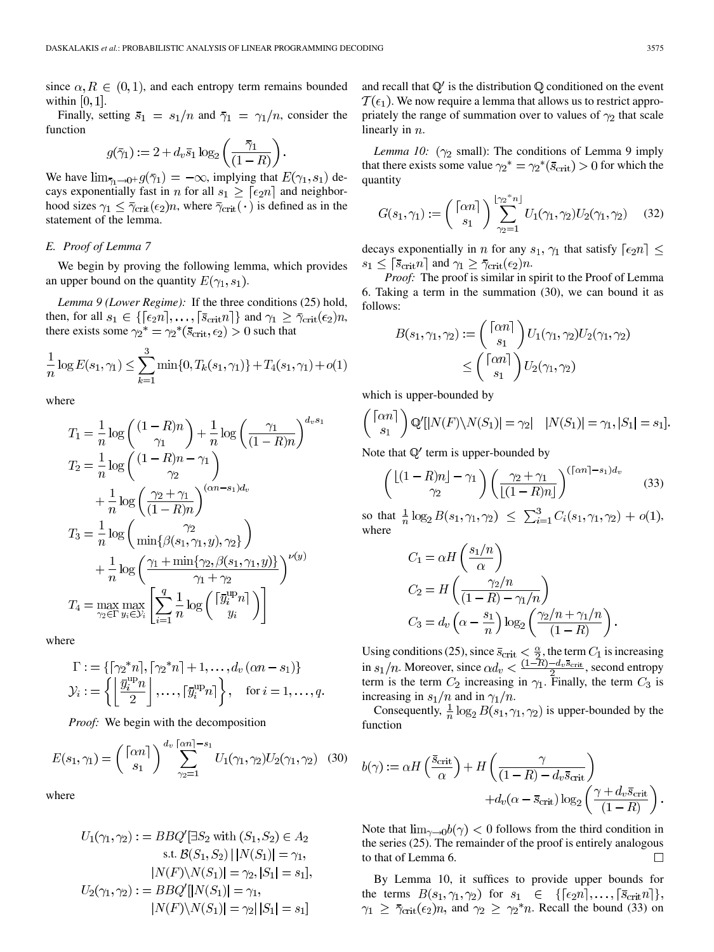since  $\alpha$ ,  $R \in (0,1)$ , and each entropy term remains bounded within  $[0, 1]$ .

Finally, setting  $\bar{s}_1 = s_1/n$  and  $\bar{\gamma}_1 = \gamma_1/n$ , consider the function

$$
g(\overline{\gamma}_1) := 2 + d_v \overline{s}_1 \log_2 \left( \frac{\overline{\gamma}_1}{(1-R)} \right).
$$

We have  $\lim_{\bar{\gamma}_1 \to 0^+} g(\bar{\gamma}_1) = -\infty$ , implying that  $E(\gamma_1, s_1)$  decays exponentially fast in *n* for all  $s_1 \geq \lceil \epsilon_2 n \rceil$  and neighborhood sizes  $\gamma_1 \leq \overline{\gamma}_{\rm crit}(\epsilon_2)n$ , where  $\overline{\gamma}_{\rm crit}(\cdot)$  is defined as in the statement of the lemma.

# *E. Proof of Lemma 7*

We begin by proving the following lemma, which provides an upper bound on the quantity  $E(\gamma_1, s_1)$ .

*Lemma 9 (Lower Regime):* If the three conditions (25) hold, then, for all  $s_1 \in \{\lceil \epsilon_2 n \rceil, \ldots, \lceil \bar{s}_{\text{crit}} n \rceil\}$  and  $\gamma_1 \geq \bar{\gamma}_{\text{crit}}(\epsilon_2)n$ , there exists some  $\gamma_2^* = \gamma_2^*(\bar{s}_{\text{crit}}, \epsilon_2) > 0$  such that

$$
\frac{1}{n}\log E(s_1,\gamma_1) \le \sum_{k=1}^3 \min\{0,T_k(s_1,\gamma_1)\} + T_4(s_1,\gamma_1) + o(1)
$$

where

$$
T_1 = \frac{1}{n} \log \left( \frac{(1 - R)n}{\gamma_1} \right) + \frac{1}{n} \log \left( \frac{\gamma_1}{(1 - R)n} \right)^{d_v s_1}
$$
  
\n
$$
T_2 = \frac{1}{n} \log \left( \frac{(1 - R)n - \gamma_1}{\gamma_2} \right)
$$
  
\n
$$
+ \frac{1}{n} \log \left( \frac{\gamma_2 + \gamma_1}{(1 - R)n} \right)^{(\alpha n - s_1) d_v}
$$
  
\n
$$
T_3 = \frac{1}{n} \log \left( \frac{\gamma_2}{\min \{ \beta(s_1, \gamma_1, y), \gamma_2 \}} \right)
$$
  
\n
$$
+ \frac{1}{n} \log \left( \frac{\gamma_1 + \min \{ \gamma_2, \beta(s_1, \gamma_1, y) \}}{\gamma_1 + \gamma_2} \right)^{\nu(y)}
$$
  
\n
$$
T_4 = \max_{\gamma_2 \in \Gamma} \max_{y_i \in \mathcal{Y}_i} \left[ \sum_{i=1}^q \frac{1}{n} \log \left( \frac{\lceil \bar{y}_i^{\text{up}} n \rceil}{y_i} \right) \right]
$$

where

$$
\Gamma := \{ \lceil \gamma_2^* n \rceil, \lceil \gamma_2^* n \rceil + 1, \dots, d_v (\alpha n - s_1) \}
$$
  

$$
\mathcal{Y}_i := \left\{ \left\lfloor \frac{\bar{y}_i^{\text{up}} n}{2} \right\rfloor, \dots, \lceil \bar{y}_i^{\text{up}} n \rceil \right\}, \text{ for } i = 1, \dots, q.
$$

*Proof:* We begin with the decomposition

$$
E(s_1, \gamma_1) = \left(\begin{bmatrix} \alpha n \\ s_1 \end{bmatrix}\right)^{d_v \lceil \alpha n \rceil - s_1} U_1(\gamma_1, \gamma_2) U_2(\gamma_1, \gamma_2) \quad (30)
$$

where

$$
U_1(\gamma_1, \gamma_2) := BBQ'[\exists S_2 \text{ with } (S_1, S_2) \in A_2
$$
  
s.t.  $\mathcal{B}(S_1, S_2) | |N(S_1)| = \gamma_1$ ,  

$$
|N(F) \backslash N(S_1)| = \gamma_2, |S_1| = s_1],
$$
  

$$
U_2(\gamma_1, \gamma_2) := BBQ'[|N(S_1)| = \gamma_1,
$$
  

$$
|N(F) \backslash N(S_1)| = \gamma_2 | |S_1| = s_1]
$$

and recall that  $\mathbb{Q}'$  is the distribution  $\mathbb Q$  conditioned on the event  $\mathcal{T}(\epsilon_1)$ . We now require a lemma that allows us to restrict appropriately the range of summation over to values of  $\gamma_2$  that scale linearly in  $n$ .

*Lemma 10:*  $(\gamma_2 \text{ small})$ : The conditions of Lemma 9 imply that there exists some value  $\gamma_2^* = \gamma_2^*(\bar{s}_{\text{crit}}) > 0$  for which the quantity

$$
G(s_1, \gamma_1) := \left(\begin{bmatrix} \alpha n \\ s_1 \end{bmatrix} \right) \sum_{\gamma_2=1}^{\lfloor \gamma_2 * n \rfloor} U_1(\gamma_1, \gamma_2) U_2(\gamma_1, \gamma_2) \quad (32)
$$

decays exponentially in *n* for any  $s_1, \gamma_1$  that satisfy  $\lceil \epsilon_2 n \rceil \leq$  $s_1 \leq \lceil \bar{s}_{\text{crit}} n \rceil$  and  $\gamma_1 \geq \bar{\gamma}_{\text{crit}}(\epsilon_2) n$ .

*Proof:* The proof is similar in spirit to the Proof of Lemma 6. Taking a term in the summation (30), we can bound it as follows:

$$
B(s_1, \gamma_1, \gamma_2) := \begin{pmatrix} \lceil \alpha n \rceil \\ s_1 \end{pmatrix} U_1(\gamma_1, \gamma_2) U_2(\gamma_1, \gamma_2)
$$
  

$$
\leq \begin{pmatrix} \lceil \alpha n \rceil \\ s_1 \end{pmatrix} U_2(\gamma_1, \gamma_2)
$$

which is upper-bounded by

$$
\begin{pmatrix} \lceil \alpha n \rceil \\ s_1 \end{pmatrix} \mathcal{Q}'[|N(F)\backslash N(S_1)| = \gamma_2 | |N(S_1)| = \gamma_1, |S_1| = s_1].
$$

Note that  $\mathbb{Q}'$  term is upper-bounded by

$$
\left( \frac{\lfloor (1-R)n \rfloor - \gamma_1}{\gamma_2} \right) \left( \frac{\gamma_2 + \gamma_1}{\lfloor (1-R)n \rfloor} \right)^{(\lceil \alpha n \rceil - s_1)d_v} \tag{33}
$$

so that  $\frac{1}{n} \log_2 B(s_1, \gamma_1, \gamma_2) \leq \sum_{i=1}^3 C_i(s_1, \gamma_1, \gamma_2) + o(1)$ , where

$$
C_1 = \alpha H \left(\frac{s_1/n}{\alpha}\right)
$$
  
\n
$$
C_2 = H \left(\frac{\gamma_2/n}{(1-R) - \gamma_1/n}\right)
$$
  
\n
$$
C_3 = d_v \left(\alpha - \frac{s_1}{n}\right) \log_2 \left(\frac{\gamma_2/n + \gamma_1/n}{(1-R)}\right).
$$

Using conditions (25), since  $\bar{s}_{\rm crit} < \frac{\alpha}{2}$ , the term  $C_1$  is increasing in  $s_1/n$ . Moreover, since  $\alpha d_v < \frac{(1-n)-a_v s_{\text{crit}}}{2}$ , second entropy term is the term  $C_2$  increasing in  $\gamma_1$ . Finally, the term  $C_3$  is increasing in  $s_1/n$  and in  $\gamma_1/n$ .

Consequently,  $\frac{1}{n} \log_2 B(s_1, \gamma_1, \gamma_2)$  is upper-bounded by the function

$$
b(\gamma) := \alpha H\left(\frac{\overline{s}_{\text{crit}}}{\alpha}\right) + H\left(\frac{\gamma}{(1-R) - d_v \overline{s}_{\text{crit}}}\right) + d_v(\alpha - \overline{s}_{\text{crit}}) \log_2\left(\frac{\gamma + d_v \overline{s}_{\text{crit}}}{(1-R)}\right).
$$

Note that  $\lim_{\gamma\to 0} b(\gamma) < 0$  follows from the third condition in the series (25). The remainder of the proof is entirely analogous to that of Lemma 6.  $\Box$ 

By Lemma 10, it suffices to provide upper bounds for the terms  $B(s_1, \gamma_1, \gamma_2)$  for  $s_1 \in \{ \lceil \epsilon_2 n \rceil, \ldots, \lceil \bar{s}_{\text{crit}} n \rceil \},\$  $\gamma_1 \geq \overline{\gamma}_{\rm crit}(\epsilon_2)n$ , and  $\gamma_2 \geq \gamma_2^*n$ . Recall the bound (33) on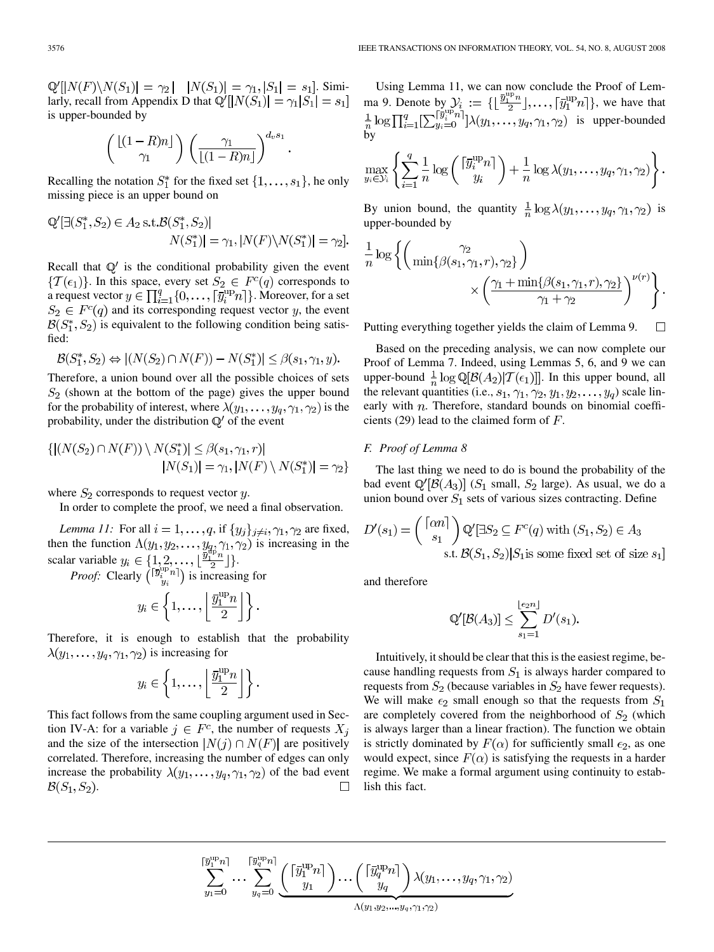$\mathbb{Q}'[|N(F)\setminus N(S_1)| = \gamma_2 | |N(S_1)| = \gamma_1, |S_1| = s_1].$  Similarly, recall from Appendix D that  $\mathbb{Q}'[|N(S_1)| = \gamma_1 |S_1| = s_1]$ is upper-bounded by

$$
\left(\frac{\lfloor (1-R)n \rfloor}{\gamma_1}\right) \left(\frac{\gamma_1}{\lfloor (1-R)n \rfloor}\right)^{d_v s_1}.
$$

Recalling the notation  $S_1^*$  for the fixed set  $\{1, \ldots, s_1\}$ , he only missing piece is an upper bound on

$$
\mathbb{Q}'[\exists (S_1^*, S_2) \in A_2 \text{ s.t.} \mathcal{B}(S_1^*, S_2)|
$$
  

$$
N(S_1^*)| = \gamma_1, |N(F) \setminus N(S_1^*)| = \gamma_2].
$$

Recall that  $\mathbb{Q}'$  is the conditional probability given the event  $\{T(\epsilon_1)\}\.$  In this space, every set  $S_2 \in F^c(q)$  corresponds to a request vector  $y \in \prod_{i=1}^{q} \{0, \ldots, \lceil \bar{y}_i^{\text{up}} n \rceil \}$ . Moreover, for a set  $S_2 \in F^c(q)$  and its corresponding request vector y, the event  $\mathcal{B}(S_1^*, S_2)$  is equivalent to the following condition being satisfied:

$$
\mathcal{B}(S_1^*, S_2) \Leftrightarrow |(N(S_2) \cap N(F)) - N(S_1^*)| \le \beta(s_1, \gamma_1, y).
$$

Therefore, a union bound over all the possible choices of sets  $S_2$  (shown at the bottom of the page) gives the upper bound for the probability of interest, where  $\lambda(y_1,\ldots,y_q,\gamma_1,\gamma_2)$  is the probability, under the distribution  $\mathbb{Q}'$  of the event

$$
\{ |(N(S_2) \cap N(F)) \setminus N(S_1^*)| \leq \beta(s_1, \gamma_1, r) | |N(S_1)| = \gamma_1, |N(F) \setminus N(S_1^*)| = \gamma_2 \}
$$

where  $S_2$  corresponds to request vector  $y$ .

In order to complete the proof, we need a final observation.

*Lemma 11:* For all  $i = 1, ..., q$ , if  $\{y_j\}_{j \neq i}, \gamma_1, \gamma_2$  are fixed, then the function  $\Lambda(y_1, y_2, \dots, y_{\text{max}}^y, \gamma_1, \gamma_2)$  is increasing in the scalar variable  $y_i \in \{1, 2, \ldots, \lfloor \frac{y_1 - n}{2} \rfloor \}.$ 

*Proof:* Clearly  $\binom{|y_i - n|}{n}$  is increasing for

$$
y_i \in \left\{1, \ldots, \left\lfloor \frac{\bar{y}_1^{\text{up}} n}{2} \right\rfloor \right\}.
$$

Therefore, it is enough to establish that the probability  $\lambda(y_1,\ldots,y_q,\gamma_1,\gamma_2)$  is increasing for

$$
y_i \in \left\{1, \ldots, \left\lfloor \frac{\bar{y}_1^{\text{up}} n}{2} \right\rfloor \right\}.
$$

This fact follows from the same coupling argument used in Section IV-A: for a variable  $j \in F^c$ , the number of requests  $X_i$ and the size of the intersection  $|N(j) \cap N(F)|$  are positively correlated. Therefore, increasing the number of edges can only increase the probability  $\lambda(y_1,\ldots,y_q,\gamma_1,\gamma_2)$  of the bad event  $\mathcal{B}(S_1, S_2)$ .  $\Box$ 

Using Lemma 11, we can now conclude the Proof of Lemma 9. Denote by  $\mathcal{Y}_i := \{ \left[ \frac{y_1 - \mu}{2} \right], \dots, \left[ \bar{y}_1^{\text{up}} n \right] \}$ , we have that is upper-bounded by

$$
\max_{y_i \in \mathcal{Y}_i} \left\{ \sum_{i=1}^q \frac{1}{n} \log \left( \frac{\lceil \bar{y}_i^{\text{up}} n \rceil}{y_i} \right) + \frac{1}{n} \log \lambda(y_1, \dots, y_q, \gamma_1, \gamma_2) \right\}.
$$

By union bound, the quantity  $\frac{1}{n} \log \lambda(y_1, \ldots, y_q, \gamma_1, \gamma_2)$  is upper-bounded by

$$
\frac{1}{n}\log\left\{\left(\frac{\gamma_2}{\min\{\beta(s_1,\gamma_1,r),\gamma_2\}}\right) \times \left(\frac{\gamma_1+\min\{\beta(s_1,\gamma_1,r),\gamma_2\}}{\gamma_1+\gamma_2}\right)^{\nu(r)}\right\}.
$$

Putting everything together yields the claim of Lemma 9.  $\Box$ 

Based on the preceding analysis, we can now complete our Proof of Lemma 7. Indeed, using Lemmas 5, 6, and 9 we can upper-bound  $\frac{1}{n} \log \mathbb{Q}[\mathcal{B}(A_2)|\mathcal{T}(\epsilon_1)]$ . In this upper bound, all the relevant quantities (i.e.,  $s_1, \gamma_1, \gamma_2, y_1, y_2, \dots, y_q$ ) scale linearly with  $n$ . Therefore, standard bounds on binomial coefficients (29) lead to the claimed form of  $F$ .

# *F. Proof of Lemma 8*

The last thing we need to do is bound the probability of the bad event  $\mathbb{Q}'[\mathcal{B}(A_3)]$  (S<sub>1</sub> small, S<sub>2</sub> large). As usual, we do a union bound over  $S_1$  sets of various sizes contracting. Define

$$
D'(s_1) = \begin{pmatrix} \lceil \alpha n \rceil \\ s_1 \end{pmatrix} \mathbb{Q}'[\exists S_2 \subseteq F^c(q) \text{ with } (S_1, S_2) \in A_3
$$
  
s.t.  $\mathcal{B}(S_1, S_2) | S_1 \text{ is some fixed set of size } s_1]$ 

and therefore

$$
\mathbb{Q}'[\mathcal{B}(A_3)] \le \sum_{s_1=1}^{\lfloor \epsilon_2 n \rfloor} D'(s_1).
$$

Intuitively, it should be clear that this is the easiest regime, because handling requests from  $S_1$  is always harder compared to requests from  $S_2$  (because variables in  $S_2$  have fewer requests). We will make  $\epsilon_2$  small enough so that the requests from  $S_1$ are completely covered from the neighborhood of  $S_2$  (which is always larger than a linear fraction). The function we obtain is strictly dominated by  $F(\alpha)$  for sufficiently small  $\epsilon_2$ , as one would expect, since  $F(\alpha)$  is satisfying the requests in a harder regime. We make a formal argument using continuity to establish this fact.

$$
\sum_{y_1=0}^{\lceil \bar{y}_1^{up} n \rceil} \dots \sum_{y_q=0}^{\lceil \bar{y}_q^{up} n \rceil} \underbrace{\left( \lceil \bar{y}_1^{up} n \rceil \right) \dots \left( \lceil \bar{y}_q^{up} n \rceil \right)}_{\Lambda(y_1, y_2, \dots, y_q, \gamma_1, \gamma_2)} \lambda(y_1, \dots, y_q, \gamma_1, \gamma_2)
$$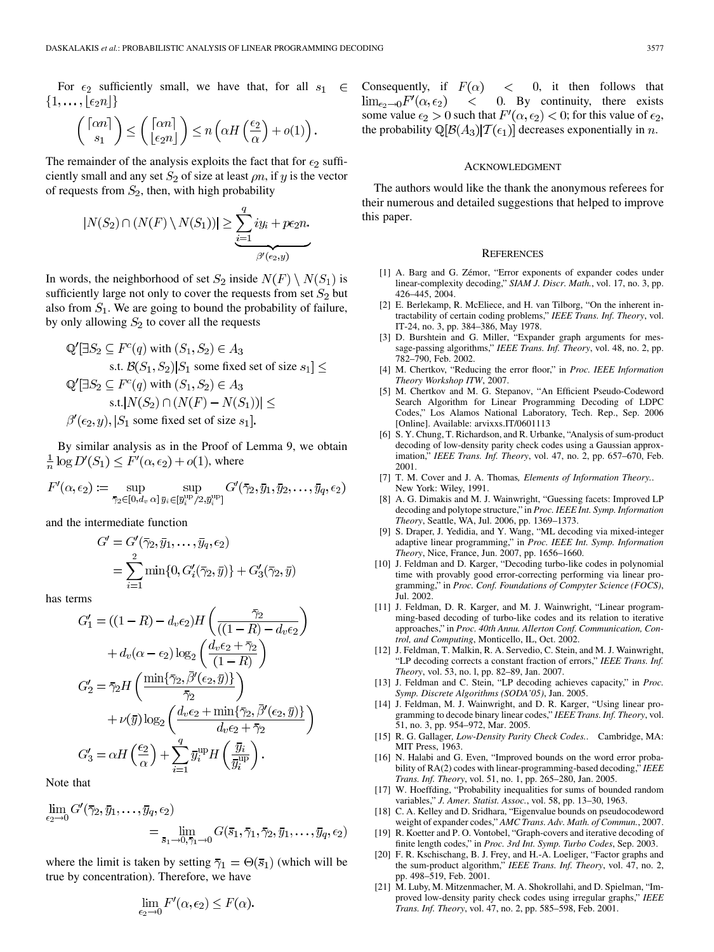For  $\epsilon_2$  sufficiently small, we have that, for all  $s_1 \in$  $\{1,\ldots,|\epsilon_2n|\}$ 

$$
\left(\begin{bmatrix} \alpha n \\ s_1 \end{bmatrix}\right) \le \left(\begin{bmatrix} \alpha n \\ \lfloor \epsilon_2 n \rfloor \end{bmatrix}\right) \le n \left(\alpha H\left(\frac{\epsilon_2}{\alpha}\right) + o(1)\right).
$$

The remainder of the analysis exploits the fact that for  $\epsilon_2$  sufficiently small and any set  $S_2$  of size at least  $\rho n$ , if y is the vector of requests from  $S_2$ , then, with high probability

$$
|N(S_2) \cap (N(F) \setminus N(S_1))| \ge \underbrace{\sum_{i=1}^q iy_i}_{\beta'(e_2, y)} + p\epsilon_2 n.
$$

In words, the neighborhood of set  $S_2$  inside  $N(F) \setminus N(S_1)$  is sufficiently large not only to cover the requests from set  $S_2$  but also from  $S_1$ . We are going to bound the probability of failure, by only allowing  $S_2$  to cover all the requests

$$
Q'[\exists S_2 \subseteq F^c(q) \text{ with } (S_1, S_2) \in A_3
$$
  
s.t.  $\mathcal{B}(S_1, S_2)|S_1$  some fixed set of size  $s_1] \le$   

$$
Q'[\exists S_2 \subseteq F^c(q) \text{ with } (S_1, S_2) \in A_3
$$
  
s.t.  $|N(S_2) \cap (N(F) - N(S_1))| \le$   
 $\beta'(\epsilon_2, y), |S_1 \text{ some fixed set of size } s_1].$ 

By similar analysis as in the Proof of Lemma 9, we obtain  $\frac{1}{n} \log D'(S_1) \leq F'(\alpha, \epsilon_2) + o(1)$ , where

$$
F'(\alpha, \epsilon_2) := \sup_{\bar{\gamma}_2 \in [0, d_v, \alpha]} \sup_{\bar{y}_i \in [\bar{y}_i^{\text{up}}/2, \bar{y}_i^{\text{up}}]} G'(\bar{\gamma}_2, \bar{y}_1, \bar{y}_2, \dots, \bar{y}_q, \epsilon_2)
$$

and the intermediate function

$$
G' = G'(\bar{\gamma}_2, \bar{y}_1, \dots, \bar{y}_q, \epsilon_2)
$$
  
= 
$$
\sum_{i=1}^{2} \min\{0, G'_{i}(\bar{\gamma}_2, \bar{y})\} + G'_{3}(\bar{\gamma}_2, \bar{y})
$$

has terms

$$
G'_1 = ((1 - R) - d_v \epsilon_2) H \left( \frac{\overline{\gamma_2}}{((1 - R) - d_v \epsilon_2)} \right)
$$
  
+ 
$$
d_v(\alpha - \epsilon_2) \log_2 \left( \frac{d_v \epsilon_2 + \overline{\gamma_2}}{(1 - R)} \right)
$$
  

$$
G'_2 = \overline{\gamma_2} H \left( \frac{\min\{\overline{\gamma_2}, \overline{\beta}'(\epsilon_2, \overline{y})\}}{\overline{\gamma_2}} \right)
$$
  
+ 
$$
\nu(\overline{y}) \log_2 \left( \frac{d_v \epsilon_2 + \min\{\overline{\gamma_2}, \overline{\beta}'(\epsilon_2, \overline{y})\}}{d_v \epsilon_2 + \overline{\gamma_2}} \right)
$$
  

$$
G'_3 = \alpha H \left( \frac{\epsilon_2}{\alpha} \right) + \sum_{i=1}^q \overline{y}_i^{\text{up}} H \left( \frac{\overline{y}_i}{\overline{y}_i^{\text{up}}} \right).
$$

Note that

$$
\lim_{\epsilon_2 \to 0} G'(\bar{\gamma}_2, \bar{y}_1, \dots, \bar{y}_q, \epsilon_2)
$$
\n
$$
= \lim_{\bar{s}_1 \to 0, \bar{\gamma}_1 \to 0} G(\bar{s}_1, \bar{\gamma}_1, \bar{\gamma}_2, \bar{y}_1, \dots, \bar{y}_q, \epsilon_2)
$$

where the limit is taken by setting  $\bar{\gamma}_1 = \Theta(\bar{s}_1)$  (which will be true by concentration). Therefore, we have

$$
\lim_{\epsilon_2 \to 0} F'(\alpha, \epsilon_2) \le F(\alpha).
$$

Consequently, if  $F(\alpha) \leq 0$ , it then follows that . By continuity, there exists  $\lim_{\epsilon_2 \to 0} F'(\alpha, \epsilon_2)$  $\lt$ some value  $\epsilon_2 > 0$  such that  $F'(\alpha, \epsilon_2) < 0$ ; for this value of  $\epsilon_2$ , the probability  $\mathbb{Q}[\mathcal{B}(A_3)|\mathcal{T}(\epsilon_1)]$  decreases exponentially in n.

#### ACKNOWLEDGMENT

The authors would like the thank the anonymous referees for their numerous and detailed suggestions that helped to improve this paper.

#### **REFERENCES**

- [1] A. Barg and G. Zémor, "Error exponents of expander codes under linear-complexity decoding," *SIAM J. Discr. Math.*, vol. 17, no. 3, pp. 426–445, 2004.
- [2] E. Berlekamp, R. McEliece, and H. van Tilborg, "On the inherent intractability of certain coding problems," *IEEE Trans. Inf. Theory*, vol. IT-24, no. 3, pp. 384–386, May 1978.
- [3] D. Burshtein and G. Miller, "Expander graph arguments for message-passing algorithms," *IEEE Trans. Inf. Theory*, vol. 48, no. 2, pp. 782–790, Feb. 2002.
- [4] M. Chertkov, "Reducing the error floor," in *Proc. IEEE Information Theory Workshop ITW*, 2007.
- [5] M. Chertkov and M. G. Stepanov, "An Efficient Pseudo-Codeword Search Algorithm for Linear Programming Decoding of LDPC Codes," Los Alamos National Laboratory, Tech. Rep., Sep. 2006 [Online]. Available: arvixxs.IT/0601113
- [6] S. Y. Chung, T. Richardson, and R. Urbanke, "Analysis of sum-product decoding of low-density parity check codes using a Gaussian approximation," *IEEE Trans. Inf. Theory*, vol. 47, no. 2, pp. 657–670, Feb. 2001.
- [7] T. M. Cover and J. A. Thomas*, Elements of Information Theory.*. New York: Wiley, 1991.
- [8] A. G. Dimakis and M. J. Wainwright, "Guessing facets: Improved LP decoding and polytope structure," in *Proc. IEEE Int. Symp. Information Theory*, Seattle, WA, Jul. 2006, pp. 1369–1373.
- [9] S. Draper, J. Yedidia, and Y. Wang, "ML decoding via mixed-integer adaptive linear programming," in *Proc. IEEE Int. Symp. Information Theory*, Nice, France, Jun. 2007, pp. 1656–1660.
- [10] J. Feldman and D. Karger, "Decoding turbo-like codes in polynomial time with provably good error-correcting performing via linear programming," in *Proc. Conf. Foundations of Compyter Science (FOCS)*, Jul. 2002.
- [11] J. Feldman, D. R. Karger, and M. J. Wainwright, "Linear programming-based decoding of turbo-like codes and its relation to iterative approaches," in *Proc. 40th Annu. Allerton Conf. Communication, Control, and Computing*, Monticello, IL, Oct. 2002.
- [12] J. Feldman, T. Malkin, R. A. Servedio, C. Stein, and M. J. Wainwright, "LP decoding corrects a constant fraction of errors," *IEEE Trans. Inf. Theory*, vol. 53, no. l, pp. 82–89, Jan. 2007.
- [13] J. Feldman and C. Stein, "LP decoding achieves capacity," in *Proc. Symp. Discrete Algorithms (SODA'05)*, Jan. 2005.
- [14] J. Feldman, M. J. Wainwright, and D. R. Karger, "Using linear programming to decode binary linear codes," *IEEE Trans. Inf. Theory*, vol. 51, no. 3, pp. 954–972, Mar. 2005.
- [15] R. G. Gallager*, Low-Density Parity Check Codes.*. Cambridge, MA: MIT Press, 1963.
- [16] N. Halabi and G. Even, "Improved bounds on the word error probability of RA(2) codes with linear-programming-based decoding," *IEEE Trans. Inf. Theory*, vol. 51, no. 1, pp. 265–280, Jan. 2005.
- [17] W. Hoeffding, "Probability inequalities for sums of bounded random variables," *J. Amer. Statist. Assoc.*, vol. 58, pp. 13–30, 1963.
- [18] C. A. Kelley and D. Sridhara, "Eigenvalue bounds on pseudocodeword weight of expander codes," *AMC Trans. Adv. Math. of Commun.*, 2007.
- [19] R. Koetter and P. O. Vontobel, "Graph-covers and iterative decoding of finite length codes," in *Proc. 3rd Int. Symp. Turbo Codes*, Sep. 2003.
- [20] F. R. Kschischang, B. J. Frey, and H.-A. Loeliger, "Factor graphs and the sum-product algorithm," *IEEE Trans. Inf. Theory*, vol. 47, no. 2, pp. 498–519, Feb. 2001.
- [21] M. Luby, M. Mitzenmacher, M. A. Shokrollahi, and D. Spielman, "Improved low-density parity check codes using irregular graphs," *IEEE Trans. Inf. Theory*, vol. 47, no. 2, pp. 585–598, Feb. 2001.